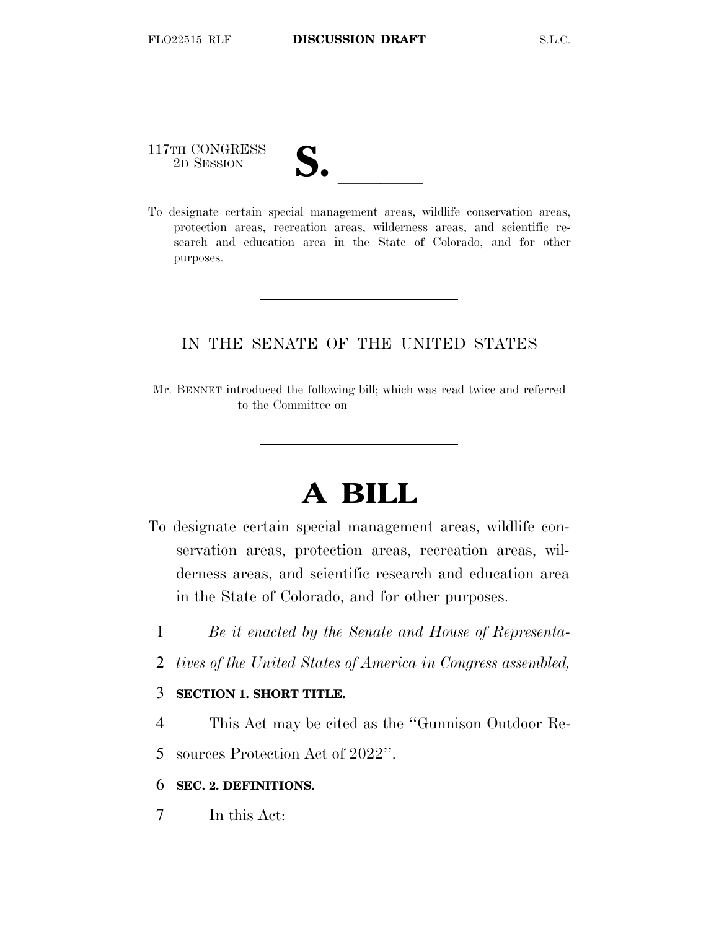117TH CONGRESS

| $\blacksquare$                |  |
|-------------------------------|--|
|                               |  |
| $\mathbf{\mathcal{U}}\bullet$ |  |
|                               |  |

117TH CONGRESS<br>
2D SESSION<br>
To designate certain special management areas, wildlife conservation areas, protection areas, recreation areas, wilderness areas, and scientific research and education area in the State of Colorado, and for other purposes.

## IN THE SENATE OF THE UNITED STATES

Mr. BENNET introduced the following bill; which was read twice and referred to the Committee on

# **A BILL**

- To designate certain special management areas, wildlife conservation areas, protection areas, recreation areas, wilderness areas, and scientific research and education area in the State of Colorado, and for other purposes.
	- 1 *Be it enacted by the Senate and House of Representa-*
	- 2 *tives of the United States of America in Congress assembled,*

### 3 **SECTION 1. SHORT TITLE.**

4 This Act may be cited as the ''Gunnison Outdoor Re-

5 sources Protection Act of 2022''.

#### 6 **SEC. 2. DEFINITIONS.**

7 In this Act: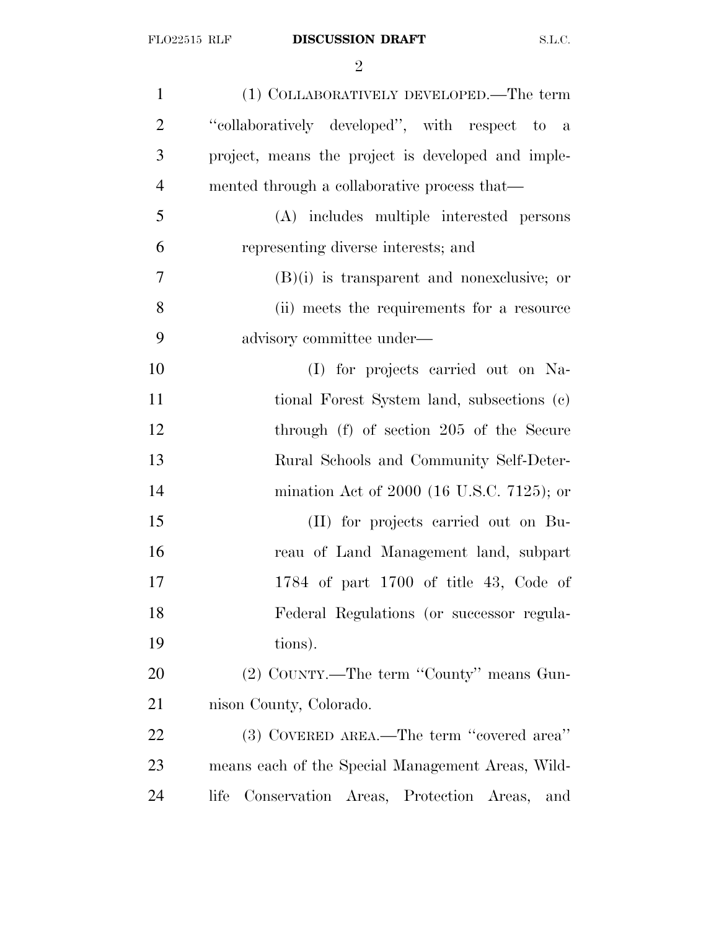| $\mathbf{1}$   | (1) COLLABORATIVELY DEVELOPED.—The term              |
|----------------|------------------------------------------------------|
| $\overline{2}$ | "collaboratively developed", with respect to a       |
| 3              | project, means the project is developed and imple-   |
| $\overline{4}$ | mented through a collaborative process that—         |
| 5              | (A) includes multiple interested persons             |
| 6              | representing diverse interests; and                  |
| 7              | $(B)(i)$ is transparent and nonexclusive; or         |
| 8              | (ii) meets the requirements for a resource           |
| 9              | advisory committee under—                            |
| 10             | (I) for projects carried out on Na-                  |
| 11             | tional Forest System land, subsections (c)           |
| 12             | through (f) of section 205 of the Secure             |
| 13             | Rural Schools and Community Self-Deter-              |
| 14             | mination Act of 2000 (16 U.S.C. 7125); or            |
| 15             | (II) for projects carried out on Bu-                 |
| 16             | reau of Land Management land, subpart                |
| 17             | 1784 of part 1700 of title 43, Code of               |
| 18             | Federal Regulations (or successor regula-            |
| 19             | tions).                                              |
| 20             | (2) COUNTY.—The term "County" means Gun-             |
| 21             | nison County, Colorado.                              |
| 22             | (3) COVERED AREA.—The term "covered area"            |
| 23             | means each of the Special Management Areas, Wild-    |
| 24             | Conservation Areas, Protection Areas,<br>life<br>and |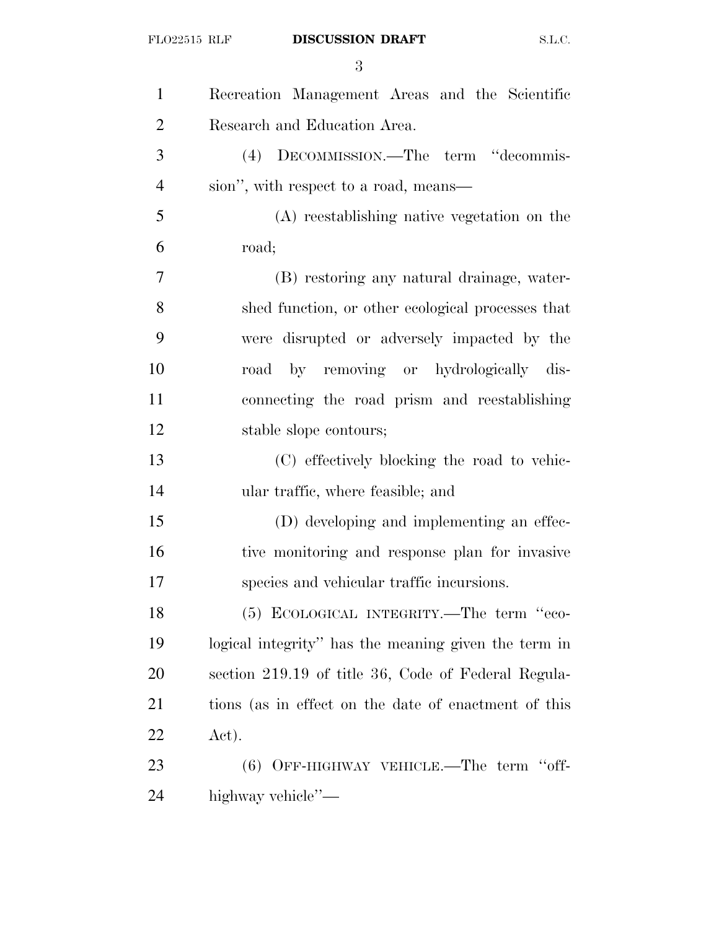| $\mathbf{1}$   | Recreation Management Areas and the Scientific       |
|----------------|------------------------------------------------------|
| $\overline{2}$ | Research and Education Area.                         |
| 3              | (4) DECOMMISSION.—The term "decommis-                |
| $\overline{4}$ | sion", with respect to a road, means—                |
| 5              | (A) reestablishing native vegetation on the          |
| 6              | road;                                                |
| 7              | (B) restoring any natural drainage, water-           |
| 8              | shed function, or other ecological processes that    |
| 9              | were disrupted or adversely impacted by the          |
| 10             | road by removing or hydrologically dis-              |
| 11             | connecting the road prism and reestablishing         |
| 12             | stable slope contours;                               |
| 13             | (C) effectively blocking the road to vehic-          |
| 14             | ular traffic, where feasible; and                    |
| 15             | (D) developing and implementing an effec-            |
| 16             | tive monitoring and response plan for invasive       |
| 17             | species and vehicular traffic incursions.            |
| 18             | (5) ECOLOGICAL INTEGRITY.—The term "eco-             |
| 19             | logical integrity" has the meaning given the term in |
| <b>20</b>      | section 219.19 of title 36, Code of Federal Regula-  |
| 21             | tions (as in effect on the date of enactment of this |
| 22             | Act).                                                |
| 23             | $(6)$ OFF-HIGHWAY VEHICLE.—The term "off-            |
| 24             | highway vehicle"—                                    |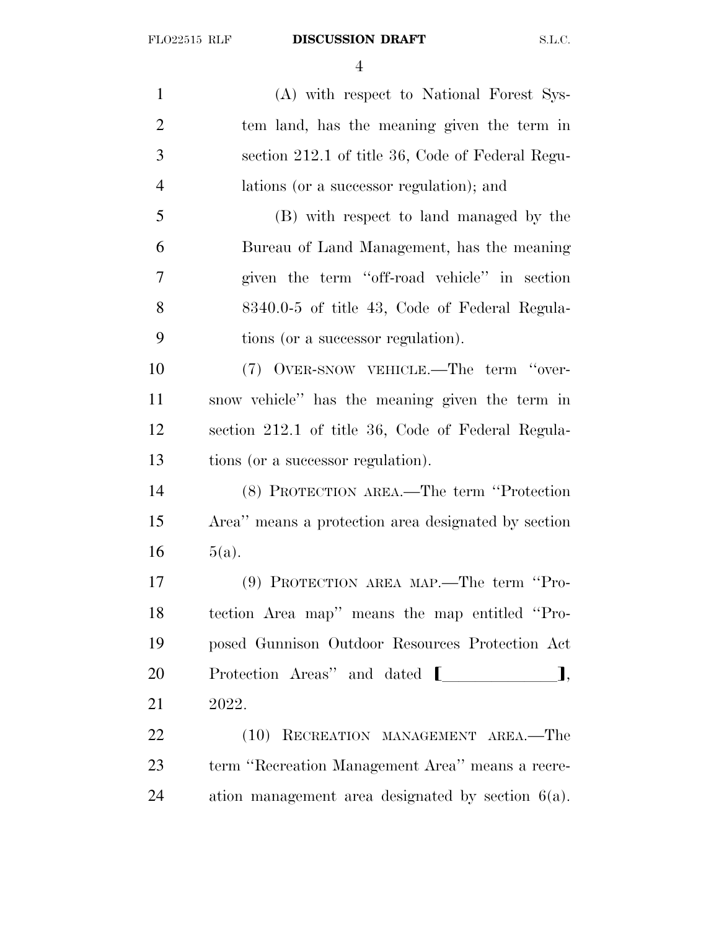(A) with respect to National Forest Sys- tem land, has the meaning given the term in section 212.1 of title 36, Code of Federal Regu- lations (or a successor regulation); and (B) with respect to land managed by the Bureau of Land Management, has the meaning given the term ''off-road vehicle'' in section 8340.0-5 of title 43, Code of Federal Regula- tions (or a successor regulation). (7) OVER-SNOW VEHICLE.—The term ''over- snow vehicle'' has the meaning given the term in section 212.1 of title 36, Code of Federal Regula- tions (or a successor regulation). (8) PROTECTION AREA.—The term ''Protection Area'' means a protection area designated by section  $16 \t 5(a).$  (9) PROTECTION AREA MAP.—The term ''Pro- tection Area map'' means the map entitled ''Pro- posed Gunnison Outdoor Resources Protection Act 20 Protection Areas'' and dated  $[$   $]$ , 2022. 22 (10) RECREATION MANAGEMENT AREA.—The term ''Recreation Management Area'' means a recre-

ation management area designated by section 6(a).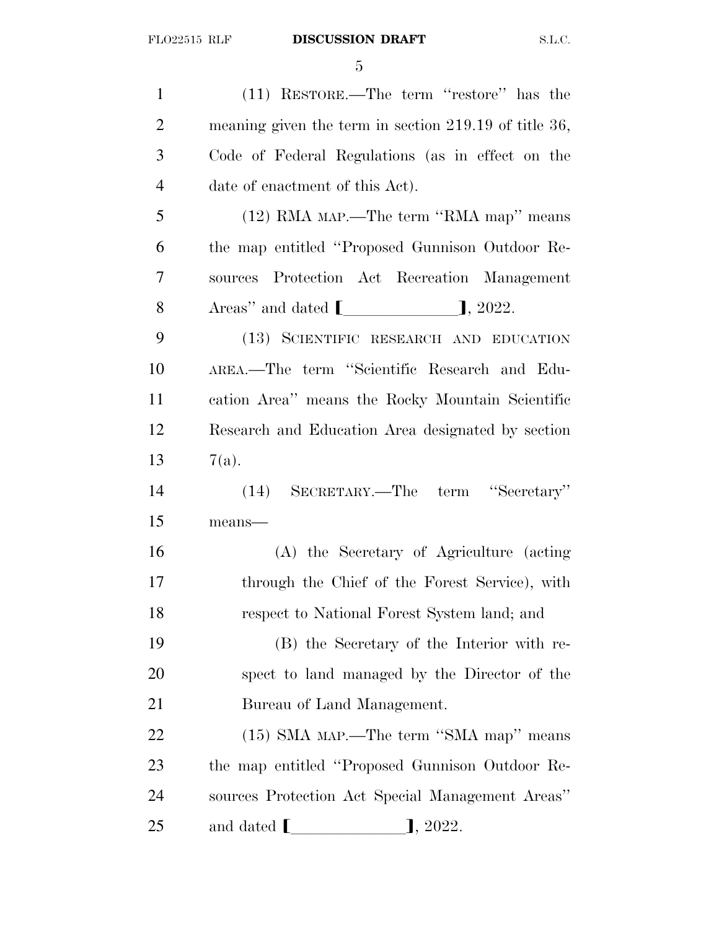(11) RESTORE.—The term ''restore'' has the meaning given the term in section 219.19 of title 36, Code of Federal Regulations (as in effect on the date of enactment of this Act). (12) RMA MAP.—The term ''RMA map'' means the map entitled ''Proposed Gunnison Outdoor Re- sources Protection Act Recreation Management 8 Areas'' and dated  $\llbracket$   $\rrbracket$ , 2022. (13) SCIENTIFIC RESEARCH AND EDUCATION AREA.—The term ''Scientific Research and Edu- cation Area'' means the Rocky Mountain Scientific Research and Education Area designated by section 13  $7(a)$ . (14) SECRETARY.—The term ''Secretary'' means— (A) the Secretary of Agriculture (acting through the Chief of the Forest Service), with respect to National Forest System land; and (B) the Secretary of the Interior with re- spect to land managed by the Director of the Bureau of Land Management. (15) SMA MAP.—The term ''SMA map'' means the map entitled ''Proposed Gunnison Outdoor Re- sources Protection Act Special Management Areas'' 25 and dated  $\blacksquare$   $\blacksquare$ , 2022.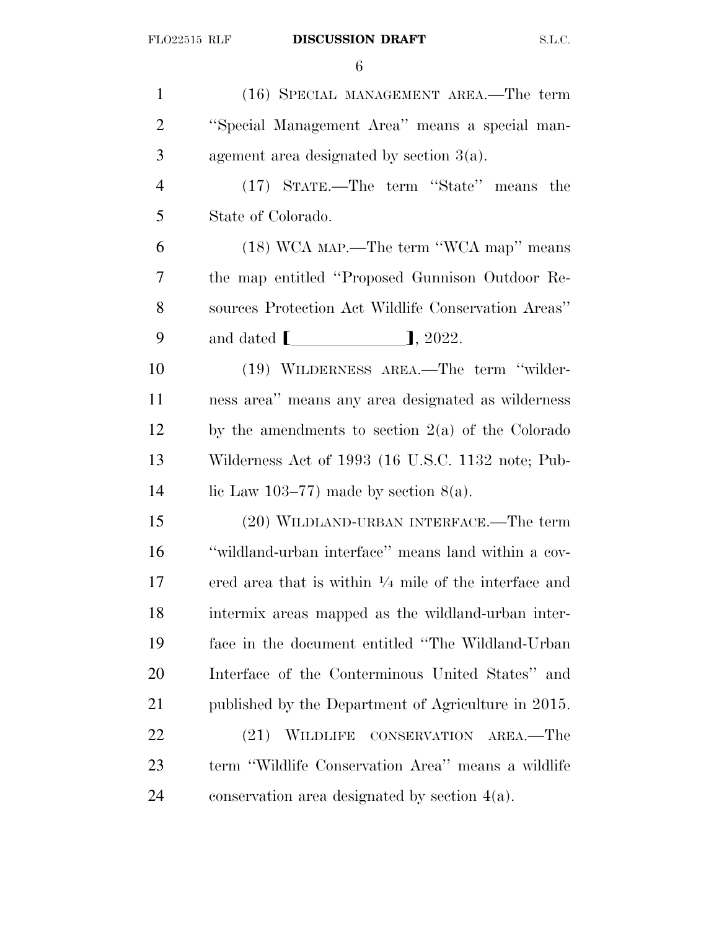(16) SPECIAL MANAGEMENT AREA.—The term ''Special Management Area'' means a special man- agement area designated by section 3(a). (17) STATE.—The term ''State'' means the State of Colorado. (18) WCA MAP.—The term ''WCA map'' means the map entitled ''Proposed Gunnison Outdoor Re- sources Protection Act Wildlife Conservation Areas'' 9 and dated  $\begin{bmatrix} 9 & 2022 \end{bmatrix}$ , 2022. (19) WILDERNESS AREA.—The term ''wilder- ness area'' means any area designated as wilderness by the amendments to section  $2(a)$  of the Colorado Wilderness Act of 1993 (16 U.S.C. 1132 note; Pub-14 lie Law 103–77) made by section  $8(a)$ . (20) WILDLAND-URBAN INTERFACE.—The term ''wildland-urban interface'' means land within a cov-17 – ered area that is within  $\frac{1}{4}$  mile of the interface and intermix areas mapped as the wildland-urban inter- face in the document entitled ''The Wildland-Urban Interface of the Conterminous United States'' and published by the Department of Agriculture in 2015. 22 (21) WILDLIFE CONSERVATION AREA.—The term ''Wildlife Conservation Area'' means a wildlife conservation area designated by section 4(a).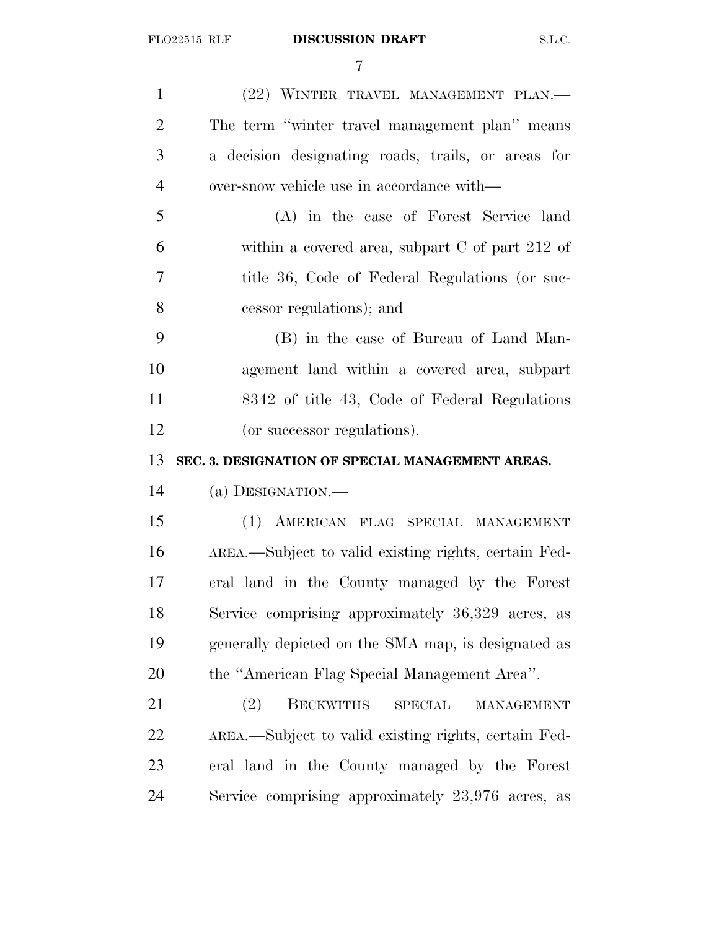| $\mathbf{1}$   | (22) WINTER TRAVEL MANAGEMENT PLAN.                            |
|----------------|----------------------------------------------------------------|
| $\overline{2}$ | The term "winter travel management plan" means                 |
| 3              | a decision designating roads, trails, or areas for             |
| $\overline{4}$ | over-snow vehicle use in accordance with—                      |
| 5              | (A) in the case of Forest Service land                         |
| 6              | within a covered area, subpart $C$ of part 212 of              |
| 7              | title 36, Code of Federal Regulations (or suc-                 |
| 8              | cessor regulations); and                                       |
| 9              | (B) in the case of Bureau of Land Man-                         |
| 10             | agement land within a covered area, subpart                    |
| 11             | 8342 of title 43, Code of Federal Regulations                  |
| 12             | (or successor regulations).                                    |
|                |                                                                |
| 13             | SEC. 3. DESIGNATION OF SPECIAL MANAGEMENT AREAS.               |
| 14             | (a) DESIGNATION.                                               |
| 15             | (1) AMERICAN FLAG SPECIAL MANAGEMENT                           |
| 16             | AREA.—Subject to valid existing rights, certain Fed-           |
| 17             | eral land in the County managed by the Forest                  |
| 18             | Service comprising approximately 36,329 acres, as              |
| 19             | generally depicted on the SMA map, is designated as            |
| 20             | the "American Flag Special Management Area".                   |
| 21             | <b>BECKWITHS</b><br>(2)<br><b>SPECIAL</b><br><b>MANAGEMENT</b> |
| 22             | AREA.—Subject to valid existing rights, certain Fed-           |
| 23             | eral land in the County managed by the Forest                  |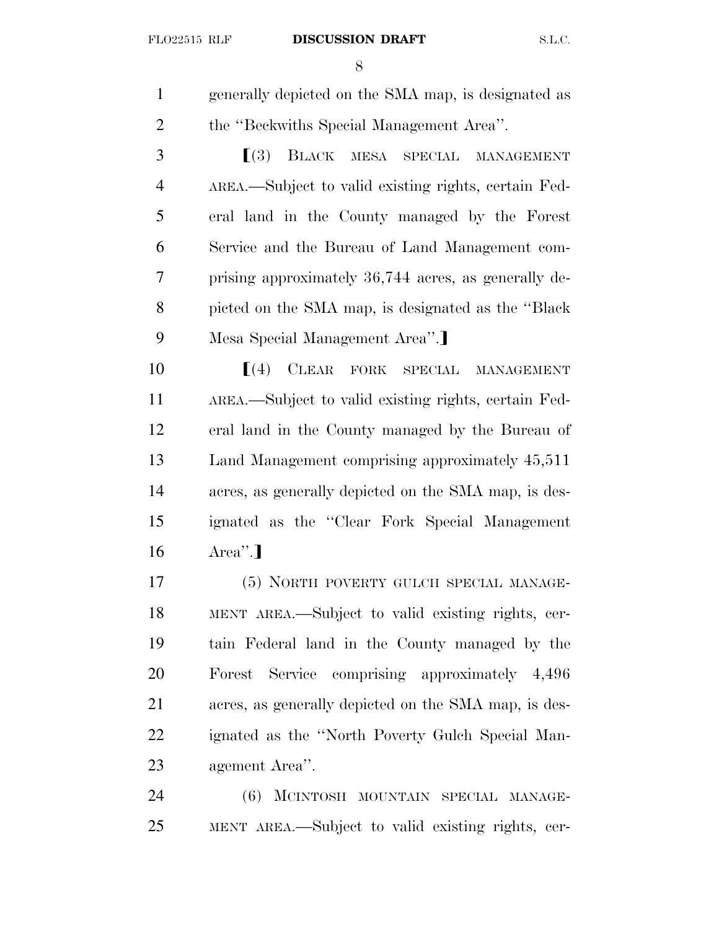generally depicted on the SMA map, is designated as the ''Beckwiths Special Management Area''.

**SPECIAL MANAGEMENT**  AREA.—Subject to valid existing rights, certain Fed- eral land in the County managed by the Forest Service and the Bureau of Land Management com- prising approximately 36,744 acres, as generally de- picted on the SMA map, is designated as the ''Black 9 Mesa Special Management Area".

**I**(4) CLEAR FORK SPECIAL MANAGEMENT AREA.—Subject to valid existing rights, certain Fed- eral land in the County managed by the Bureau of Land Management comprising approximately 45,511 acres, as generally depicted on the SMA map, is des- ignated as the ''Clear Fork Special Management  $16 \qquad \text{Area}$ ".

 (5) NORTH POVERTY GULCH SPECIAL MANAGE- MENT AREA.—Subject to valid existing rights, cer- tain Federal land in the County managed by the Forest Service comprising approximately 4,496 acres, as generally depicted on the SMA map, is des- ignated as the ''North Poverty Gulch Special Man-agement Area''.

 (6) MCINTOSH MOUNTAIN SPECIAL MANAGE-MENT AREA.—Subject to valid existing rights, cer-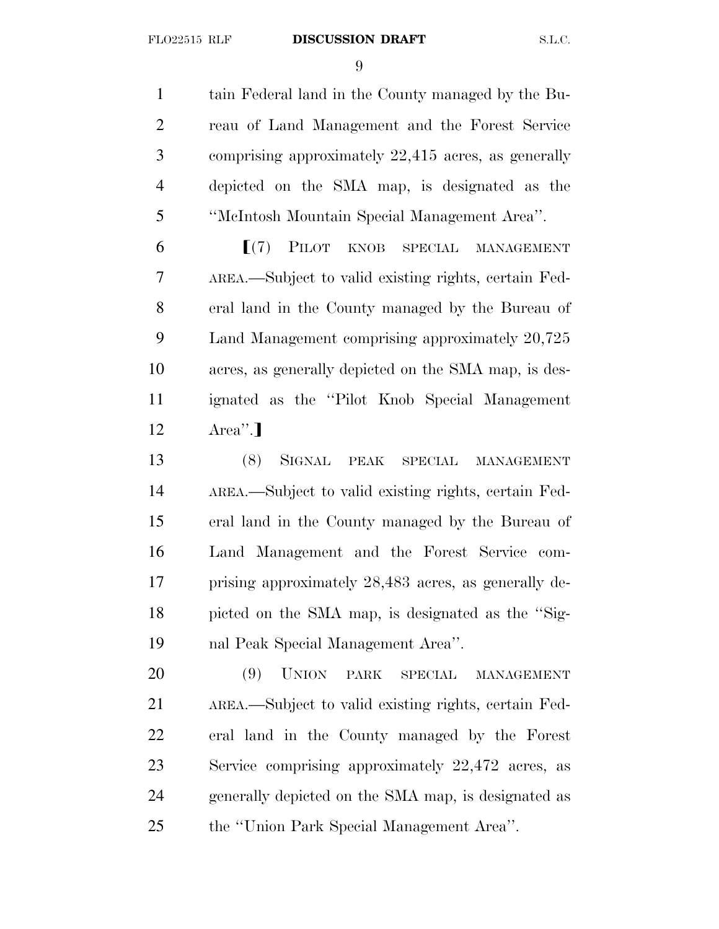#### FLO22515 RLF **DISCUSSION DRAFT** S.L.C.

 tain Federal land in the County managed by the Bu- reau of Land Management and the Forest Service comprising approximately 22,415 acres, as generally depicted on the SMA map, is designated as the ''McIntosh Mountain Special Management Area''.

**F**(7) PILOT KNOB SPECIAL MANAGEMENT AREA.—Subject to valid existing rights, certain Fed- eral land in the County managed by the Bureau of Land Management comprising approximately 20,725 acres, as generally depicted on the SMA map, is des- ignated as the ''Pilot Knob Special Management Area''.

 (8) SIGNAL PEAK SPECIAL MANAGEMENT AREA.—Subject to valid existing rights, certain Fed- eral land in the County managed by the Bureau of Land Management and the Forest Service com- prising approximately 28,483 acres, as generally de- picted on the SMA map, is designated as the ''Sig-nal Peak Special Management Area''.

 (9) UNION PARK SPECIAL MANAGEMENT AREA.—Subject to valid existing rights, certain Fed- eral land in the County managed by the Forest Service comprising approximately 22,472 acres, as generally depicted on the SMA map, is designated as the ''Union Park Special Management Area''.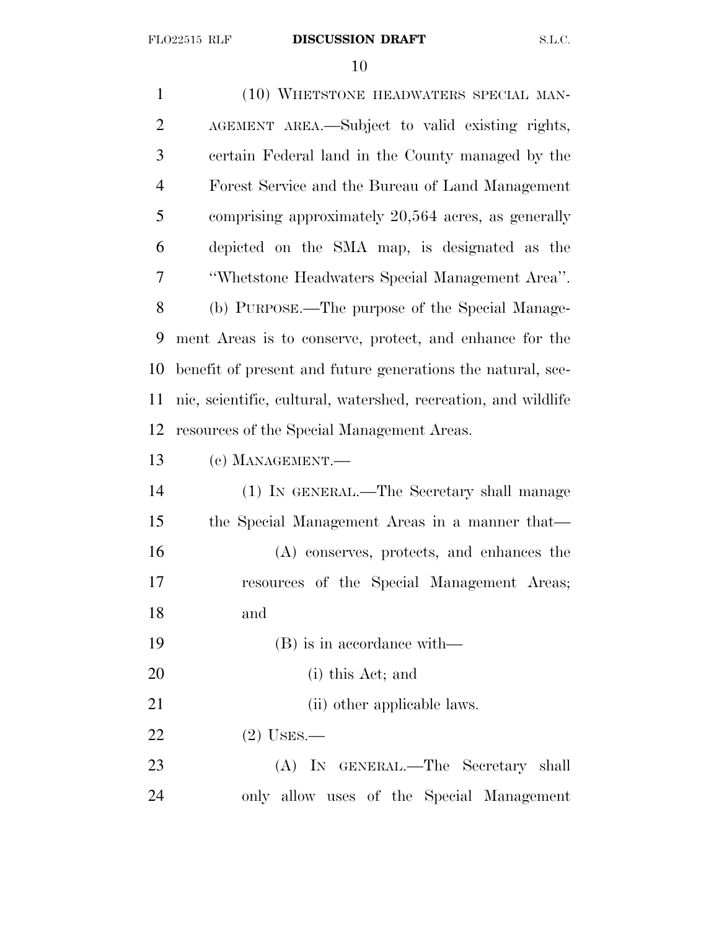| $\mathbf{1}$   | (10) WHETSTONE HEADWATERS SPECIAL MAN-                         |
|----------------|----------------------------------------------------------------|
| $\overline{2}$ | AGEMENT AREA.—Subject to valid existing rights,                |
| 3              | certain Federal land in the County managed by the              |
| $\overline{4}$ | Forest Service and the Bureau of Land Management               |
| 5              | comprising approximately 20,564 acres, as generally            |
| 6              | depicted on the SMA map, is designated as the                  |
| 7              | "Whetstone Headwaters Special Management Area".                |
| 8              | (b) PURPOSE.—The purpose of the Special Manage-                |
| 9              | ment Areas is to conserve, protect, and enhance for the        |
| 10             | benefit of present and future generations the natural, sce-    |
| 11             | nic, scientific, cultural, watershed, recreation, and wildlife |
| 12             | resources of the Special Management Areas.                     |
| 13             | (c) MANAGEMENT.-                                               |
| 14             | (1) IN GENERAL.—The Secretary shall manage                     |
| 15             | the Special Management Areas in a manner that—                 |
| 16             | (A) conserves, protects, and enhances the                      |
| 17             | resources of the Special Management Areas;                     |
| 18             | and                                                            |
| 19             | (B) is in accordance with—                                     |
| 20             | (i) this Act; and                                              |
| 21             | (ii) other applicable laws.                                    |
| 22             | $(2)$ USES.—                                                   |
| 23             | (A) IN GENERAL.—The Secretary shall                            |
| 24             | only allow uses of the Special Management                      |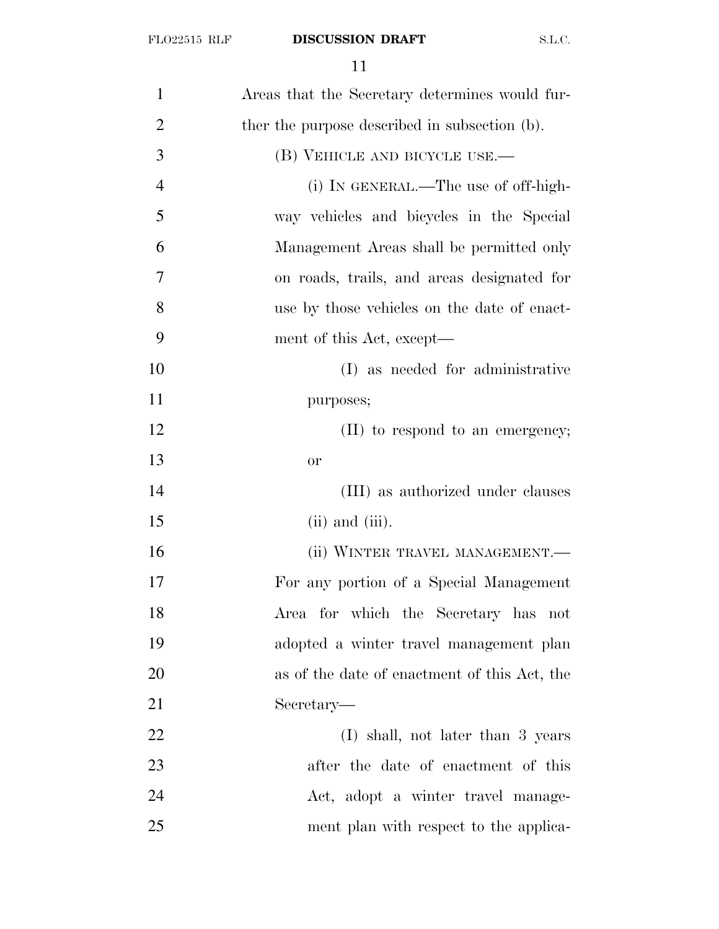| $\mathbf{1}$   | Areas that the Secretary determines would fur- |
|----------------|------------------------------------------------|
| $\overline{2}$ | ther the purpose described in subsection (b).  |
| 3              | (B) VEHICLE AND BICYCLE USE.—                  |
| $\overline{4}$ | (i) IN GENERAL.—The use of off-high-           |
| 5              | way vehicles and bicycles in the Special       |
| 6              | Management Areas shall be permitted only       |
| 7              | on roads, trails, and areas designated for     |
| 8              | use by those vehicles on the date of enact-    |
| 9              | ment of this Act, except—                      |
| 10             | (I) as needed for administrative               |
| 11             | purposes;                                      |
| 12             | (II) to respond to an emergency;               |
| 13             | <b>or</b>                                      |
| 14             | (III) as authorized under clauses              |
| 15             | $(ii)$ and $(iii)$ .                           |
| 16             | (ii) WINTER TRAVEL MANAGEMENT.—                |
| 17             | For any portion of a Special Management        |
| 18             | Area for which the Secretary has not           |
| 19             | adopted a winter travel management plan        |
| 20             | as of the date of enactment of this Act, the   |
| 21             | Secretary—                                     |
| 22             | (I) shall, not later than 3 years              |
| 23             | after the date of enactment of this            |
| 24             | Act, adopt a winter travel manage-             |
| 25             | ment plan with respect to the applica-         |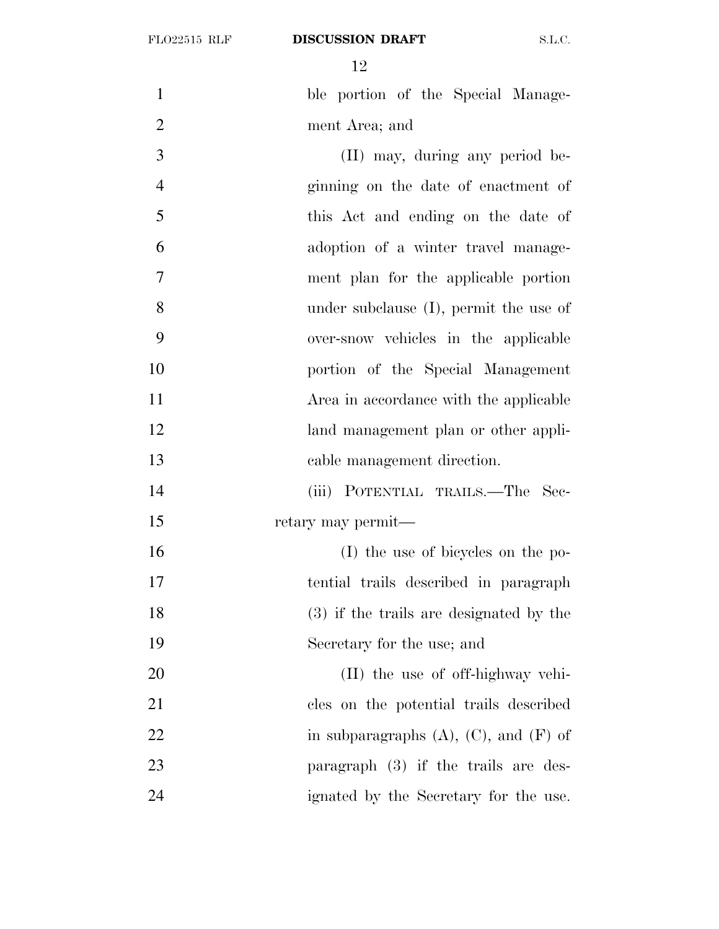1 ble portion of the Special Manage-

 ment Area; and (II) may, during any period be- ginning on the date of enactment of this Act and ending on the date of adoption of a winter travel manage- ment plan for the applicable portion under subclause (I), permit the use of over-snow vehicles in the applicable portion of the Special Management 11 Area in accordance with the applicable land management plan or other appli- cable management direction. (iii) POTENTIAL TRAILS.—The Sec- retary may permit— (I) the use of bicycles on the po- tential trails described in paragraph (3) if the trails are designated by the Secretary for the use; and (II) the use of off-highway vehi- cles on the potential trails described 22 in subparagraphs  $(A)$ ,  $(C)$ , and  $(F)$  of paragraph (3) if the trails are des-ignated by the Secretary for the use.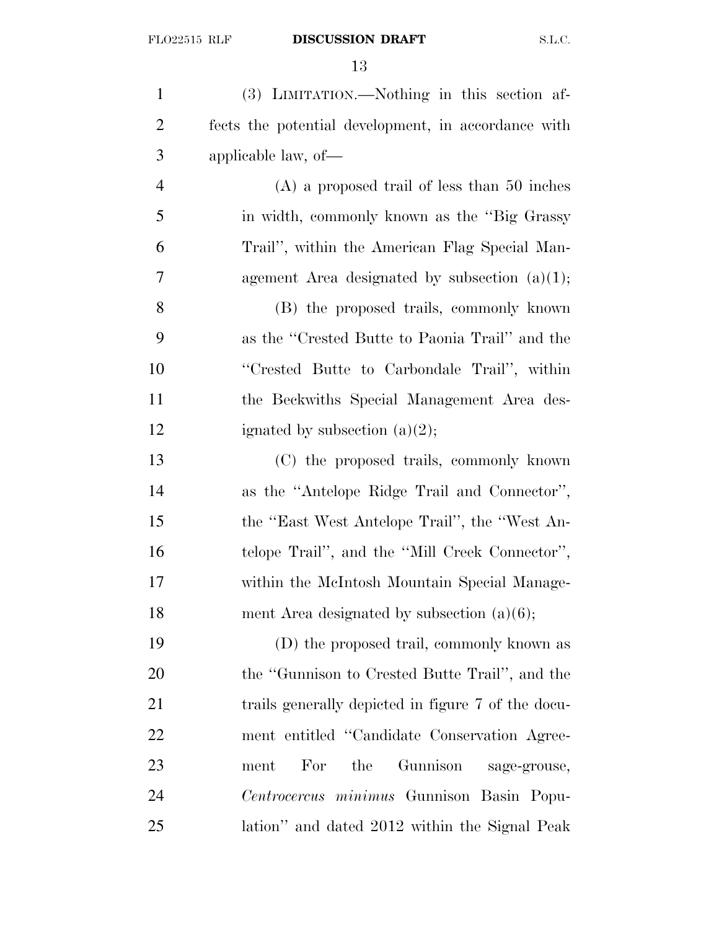(3) LIMITATION.—Nothing in this section af- fects the potential development, in accordance with applicable law, of— (A) a proposed trail of less than 50 inches in width, commonly known as the ''Big Grassy Trail'', within the American Flag Special Man- agement Area designated by subsection (a)(1); (B) the proposed trails, commonly known as the ''Crested Butte to Paonia Trail'' and the ''Crested Butte to Carbondale Trail'', within the Beckwiths Special Management Area des-12 ignated by subsection  $(a)(2)$ ; (C) the proposed trails, commonly known as the ''Antelope Ridge Trail and Connector'', the ''East West Antelope Trail'', the ''West An- telope Trail'', and the ''Mill Creek Connector'', within the McIntosh Mountain Special Manage-18 ment Area designated by subsection (a)(6); (D) the proposed trail, commonly known as the ''Gunnison to Crested Butte Trail'', and the 21 trails generally depicted in figure 7 of the docu- ment entitled ''Candidate Conservation Agree- ment For the Gunnison sage-grouse, *Centrocercus minimus* Gunnison Basin Popu-lation'' and dated 2012 within the Signal Peak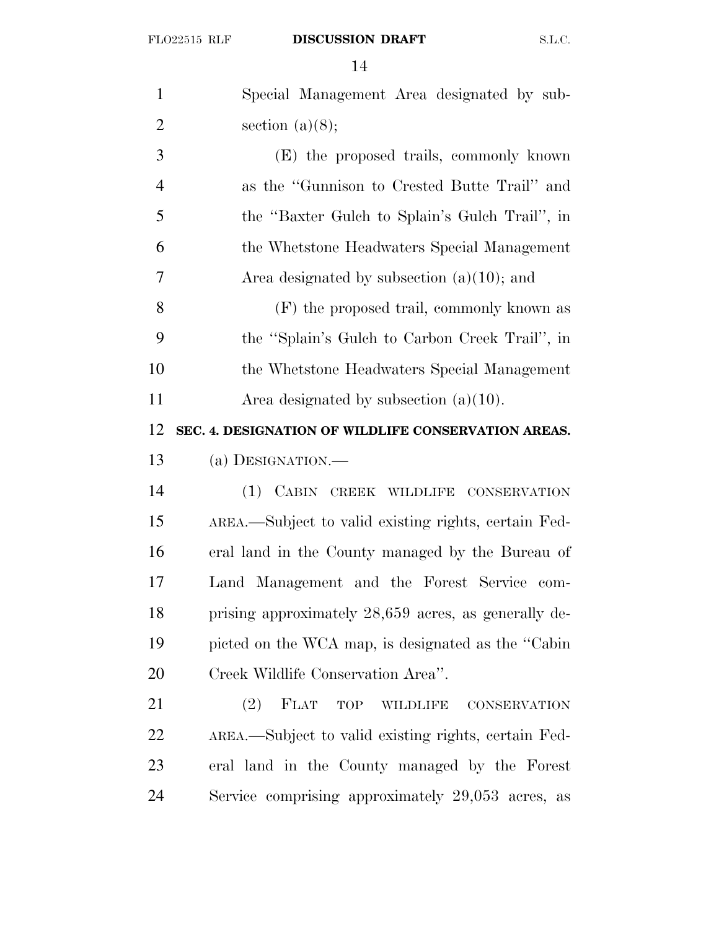| $\mathbf{1}$   | Special Management Area designated by sub-                   |
|----------------|--------------------------------------------------------------|
| $\overline{2}$ | section $(a)(8);$                                            |
| 3              | (E) the proposed trails, commonly known                      |
| $\overline{4}$ | as the "Gunnison to Crested Butte Trail" and                 |
| 5              | the "Baxter Gulch to Splain's Gulch Trail", in               |
| 6              | the Whetstone Headwaters Special Management                  |
| $\overline{7}$ | Area designated by subsection $(a)(10)$ ; and                |
| 8              | (F) the proposed trail, commonly known as                    |
| 9              | the "Splain's Gulch to Carbon Creek Trail", in               |
| 10             | the Whetstone Headwaters Special Management                  |
| 11             | Area designated by subsection $(a)(10)$ .                    |
| 12             | SEC. 4. DESIGNATION OF WILDLIFE CONSERVATION AREAS.          |
|                |                                                              |
| 13             | (a) DESIGNATION.—                                            |
| 14             | (1) CABIN CREEK WILDLIFE CONSERVATION                        |
| 15             | AREA.—Subject to valid existing rights, certain Fed-         |
| 16             | eral land in the County managed by the Bureau of             |
| 17             | Land Management and the Forest Service com-                  |
| 18             | prising approximately 28,659 acres, as generally de-         |
| 19             | picted on the WCA map, is designated as the "Cabin           |
| 20             | Creek Wildlife Conservation Area".                           |
| 21             | FLAT<br>(2)<br>TOP<br><b>WILDLIFE</b><br><b>CONSERVATION</b> |
| 22             | AREA.—Subject to valid existing rights, certain Fed-         |
| 23             | eral land in the County managed by the Forest                |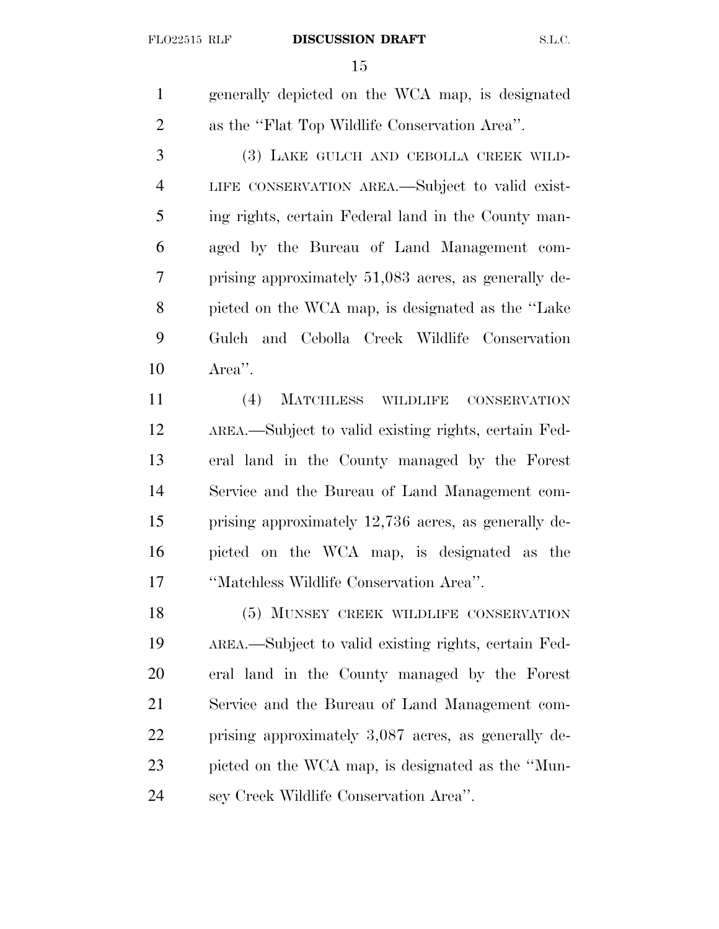generally depicted on the WCA map, is designated as the ''Flat Top Wildlife Conservation Area''.

 (3) LAKE GULCH AND CEBOLLA CREEK WILD- LIFE CONSERVATION AREA.—Subject to valid exist- ing rights, certain Federal land in the County man- aged by the Bureau of Land Management com- prising approximately 51,083 acres, as generally de- picted on the WCA map, is designated as the ''Lake Gulch and Cebolla Creek Wildlife Conservation Area''.

 (4) MATCHLESS WILDLIFE CONSERVATION AREA.—Subject to valid existing rights, certain Fed- eral land in the County managed by the Forest Service and the Bureau of Land Management com- prising approximately 12,736 acres, as generally de- picted on the WCA map, is designated as the ''Matchless Wildlife Conservation Area''.

18 (5) MUNSEY CREEK WILDLIFE CONSERVATION AREA.—Subject to valid existing rights, certain Fed- eral land in the County managed by the Forest Service and the Bureau of Land Management com- prising approximately 3,087 acres, as generally de- picted on the WCA map, is designated as the ''Mun-sey Creek Wildlife Conservation Area''.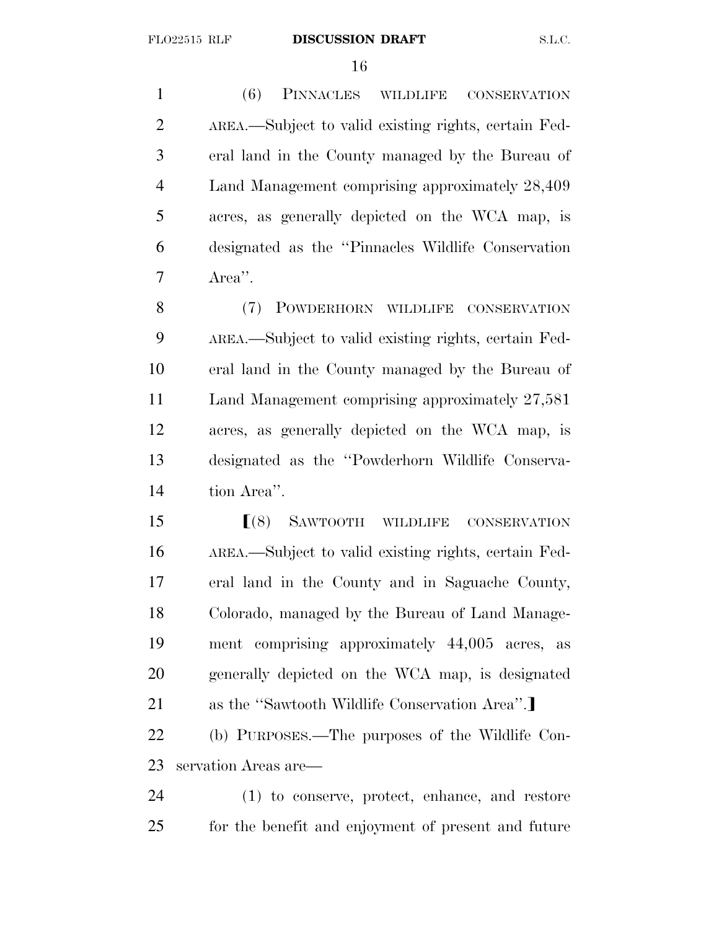(6) PINNACLES WILDLIFE CONSERVATION AREA.—Subject to valid existing rights, certain Fed- eral land in the County managed by the Bureau of Land Management comprising approximately 28,409 acres, as generally depicted on the WCA map, is designated as the ''Pinnacles Wildlife Conservation Area''.

8 (7) POWDERHORN WILDLIFE CONSERVATION AREA.—Subject to valid existing rights, certain Fed- eral land in the County managed by the Bureau of Land Management comprising approximately 27,581 acres, as generally depicted on the WCA map, is designated as the ''Powderhorn Wildlife Conserva-tion Area''.

**SAWTOOTH WILDLIFE CONSERVATION**  AREA.—Subject to valid existing rights, certain Fed- eral land in the County and in Saguache County, Colorado, managed by the Bureau of Land Manage- ment comprising approximately 44,005 acres, as generally depicted on the WCA map, is designated 21 as the "Sawtooth Wildlife Conservation Area".

 (b) PURPOSES.—The purposes of the Wildlife Con-servation Areas are—

 (1) to conserve, protect, enhance, and restore for the benefit and enjoyment of present and future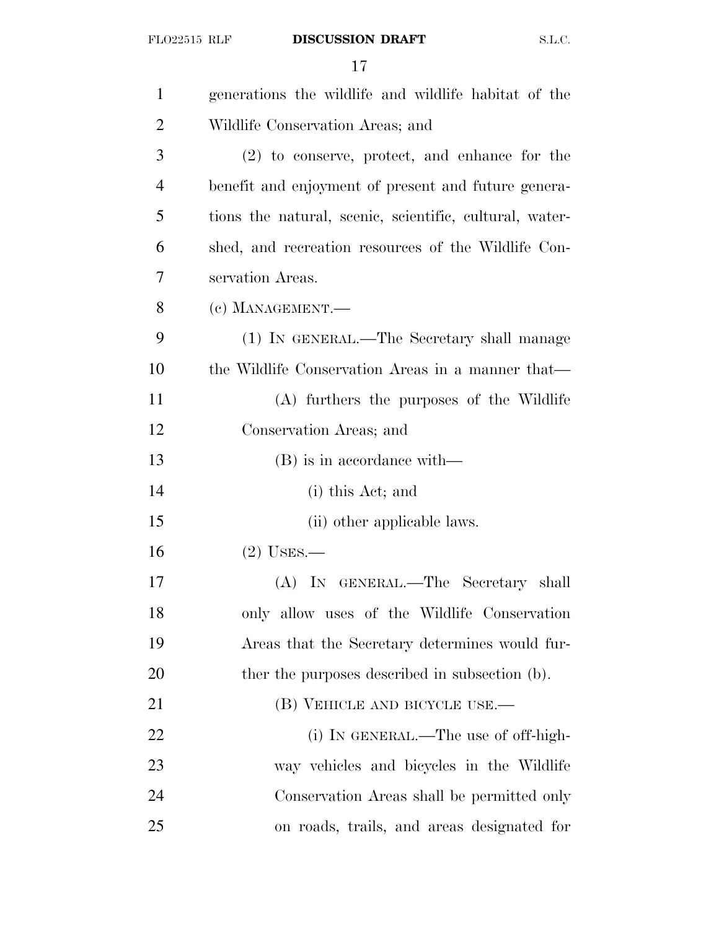| $\mathbf{1}$   | generations the wildlife and wildlife habitat of the    |
|----------------|---------------------------------------------------------|
| $\overline{2}$ | Wildlife Conservation Areas; and                        |
| 3              | $(2)$ to conserve, protect, and enhance for the         |
| 4              | benefit and enjoyment of present and future genera-     |
| 5              | tions the natural, scenic, scientific, cultural, water- |
| 6              | shed, and recreation resources of the Wildlife Con-     |
| 7              | servation Areas.                                        |
| 8              | (c) MANAGEMENT.-                                        |
| 9              | (1) IN GENERAL.—The Secretary shall manage              |
| 10             | the Wildlife Conservation Areas in a manner that—       |
| 11             | (A) furthers the purposes of the Wildlife               |
| 12             | Conservation Areas; and                                 |
| 13             | $(B)$ is in accordance with—                            |
| 14             | (i) this Act; and                                       |
| 15             | (ii) other applicable laws.                             |
| 16             | $(2)$ USES.—                                            |
| 17             | (A) IN GENERAL.—The Secretary shall                     |
| 18             | only allow uses of the Wildlife Conservation            |
| 19             | Areas that the Secretary determines would fur-          |
| 20             | ther the purposes described in subsection (b).          |
| 21             | (B) VEHICLE AND BICYCLE USE.—                           |
| 22             | (i) IN GENERAL.—The use of off-high-                    |
| 23             | way vehicles and bicycles in the Wildlife               |
| 24             | Conservation Areas shall be permitted only              |
| 25             | on roads, trails, and areas designated for              |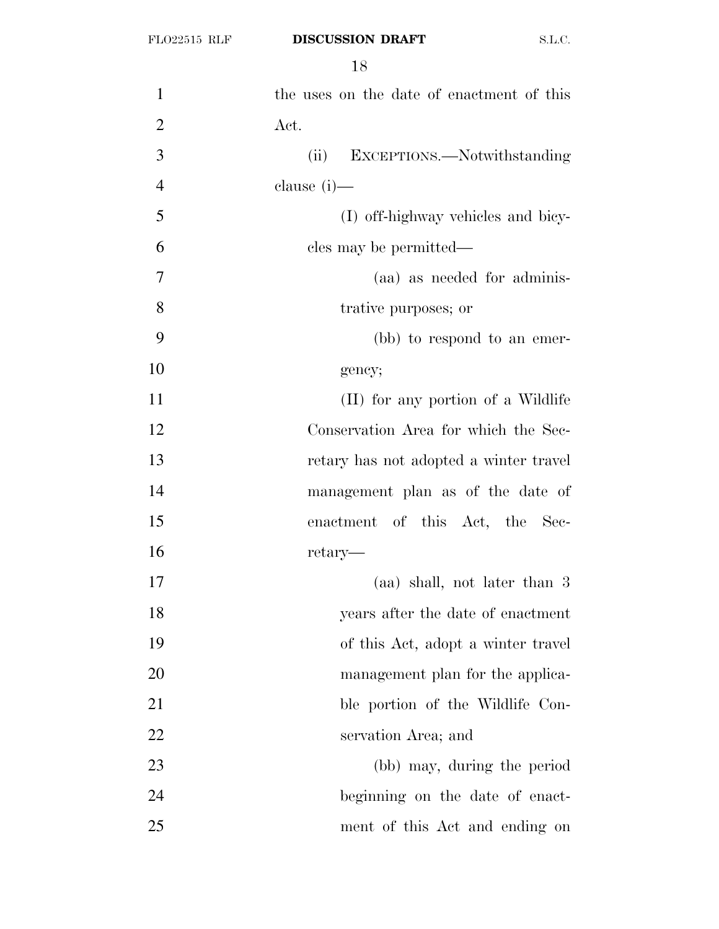| $\mathbf{1}$   | the uses on the date of enactment of this |
|----------------|-------------------------------------------|
| $\overline{2}$ | Act.                                      |
| 3              | EXCEPTIONS.—Notwithstanding<br>(ii)       |
| $\overline{4}$ | clause $(i)$ —                            |
| 5              | (I) off-highway vehicles and bicy-        |
| 6              | cles may be permitted—                    |
| 7              | (aa) as needed for adminis-               |
| 8              | trative purposes; or                      |
| 9              | (bb) to respond to an emer-               |
| 10             | gency;                                    |
| 11             | (II) for any portion of a Wildlife        |
| 12             | Conservation Area for which the Sec-      |
| 13             | retary has not adopted a winter travel    |
| 14             | management plan as of the date of         |
| 15             | enactment of this Act, the Sec-           |
| 16             | retary—                                   |
| 17             | (aa) shall, not later than 3              |
| 18             | years after the date of enactment         |
| 19             | of this Act, adopt a winter travel        |
| 20             | management plan for the applica-          |
| 21             | ble portion of the Wildlife Con-          |
| 22             | servation Area; and                       |
| 23             | (bb) may, during the period               |
| 24             | beginning on the date of enact-           |
| 25             | ment of this Act and ending on            |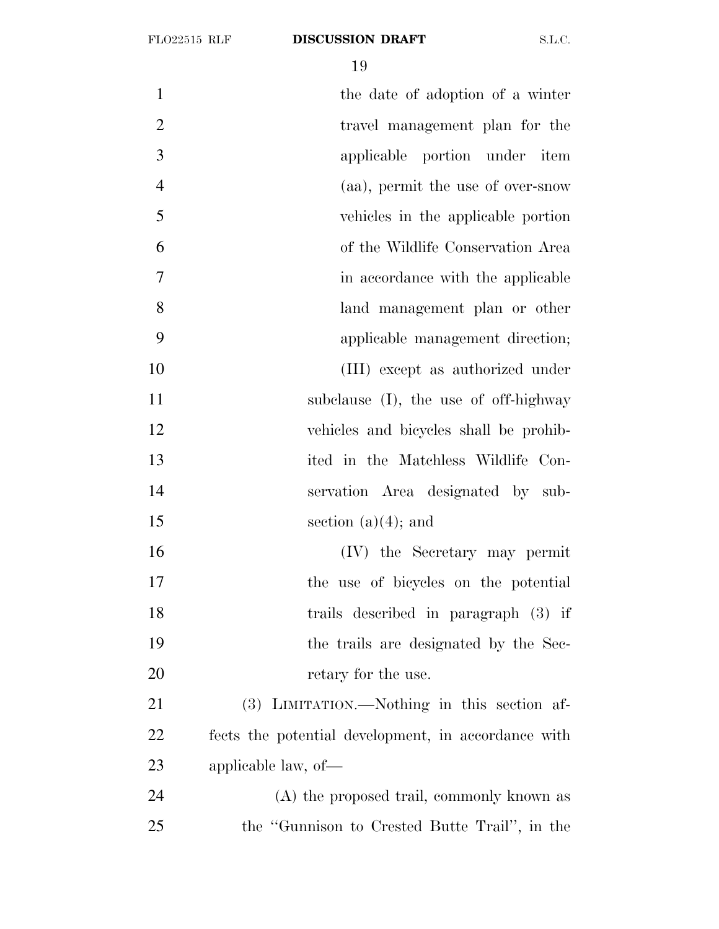1 the date of adoption of a winter 2 travel management plan for the applicable portion under item (aa), permit the use of over-snow vehicles in the applicable portion of the Wildlife Conservation Area 7 in accordance with the applicable land management plan or other applicable management direction; (III) except as authorized under 11 subclause (I), the use of off-highway vehicles and bicycles shall be prohib- ited in the Matchless Wildlife Con- servation Area designated by sub-15 section (a)(4); and (IV) the Secretary may permit the use of bicycles on the potential trails described in paragraph (3) if the trails are designated by the Sec-20 retary for the use. (3) LIMITATION.—Nothing in this section af- fects the potential development, in accordance with applicable law, of— (A) the proposed trail, commonly known as the ''Gunnison to Crested Butte Trail'', in the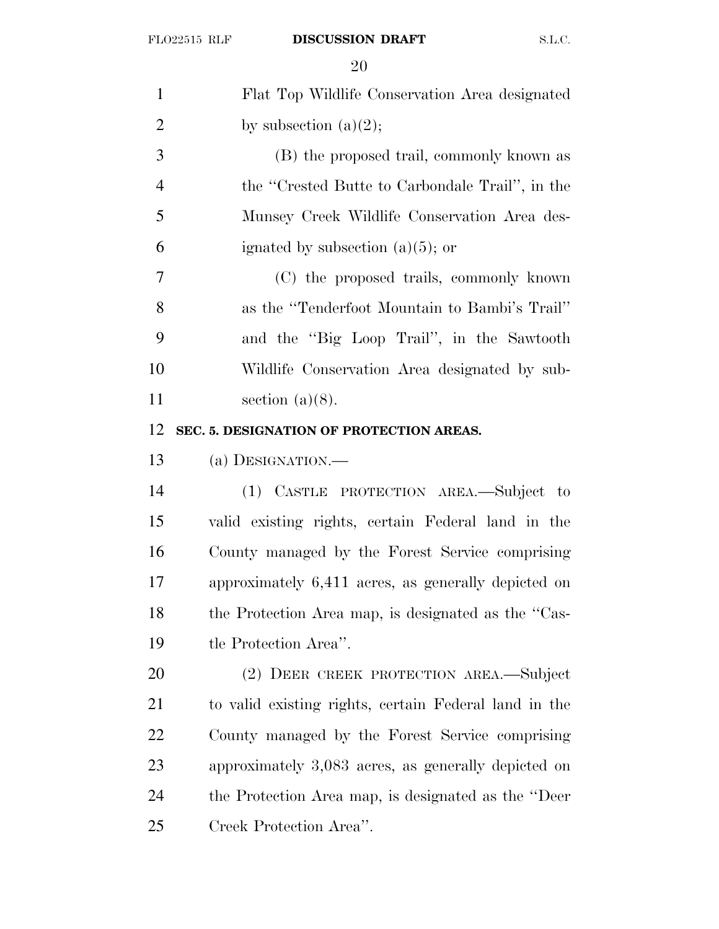| $\mathbf{1}$   | Flat Top Wildlife Conservation Area designated        |
|----------------|-------------------------------------------------------|
| $\overline{2}$ | by subsection $(a)(2)$ ;                              |
| 3              | (B) the proposed trail, commonly known as             |
| $\overline{4}$ | the "Crested Butte to Carbondale Trail", in the       |
| 5              | Munsey Creek Wildlife Conservation Area des-          |
| 6              | ignated by subsection $(a)(5)$ ; or                   |
| 7              | (C) the proposed trails, commonly known               |
| 8              | as the "Tenderfoot Mountain to Bambi's Trail"         |
| 9              | and the "Big Loop Trail", in the Sawtooth             |
| 10             | Wildlife Conservation Area designated by sub-         |
| 11             | section $(a)(8)$ .                                    |
| 12             | SEC. 5. DESIGNATION OF PROTECTION AREAS.              |
| 13             | (a) DESIGNATION.—                                     |
| 14             | (1) CASTLE PROTECTION AREA.—Subject to                |
| 15             | valid existing rights, certain Federal land in the    |
| 16             | County managed by the Forest Service comprising       |
| 17             | approximately 6,411 acres, as generally depicted on   |
| 18             | the Protection Area map, is designated as the "Cas-   |
| 19             | tle Protection Area".                                 |
| <b>20</b>      | (2) DEER CREEK PROTECTION AREA.—Subject               |
| 21             | to valid existing rights, certain Federal land in the |
| <u>22</u>      | County managed by the Forest Service comprising       |
| 23             | approximately 3,083 acres, as generally depicted on   |
| 24             | the Protection Area map, is designated as the "Deer"  |
| 25             | Creek Protection Area".                               |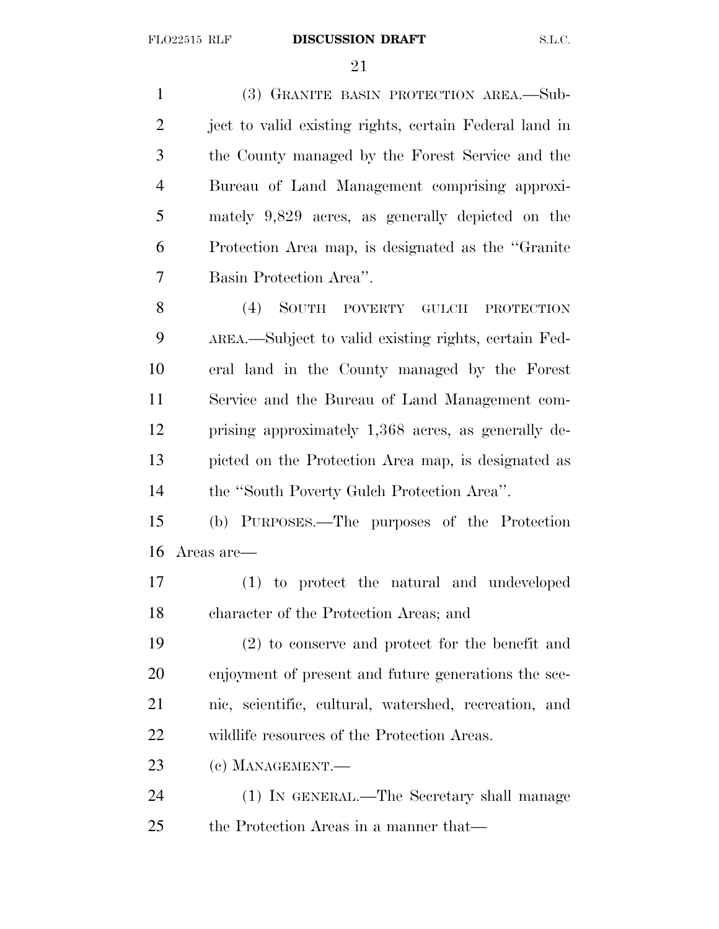(3) GRANITE BASIN PROTECTION AREA.—Sub-2 ject to valid existing rights, certain Federal land in the County managed by the Forest Service and the Bureau of Land Management comprising approxi- mately 9,829 acres, as generally depicted on the Protection Area map, is designated as the ''Granite Basin Protection Area''. (4) SOUTH POVERTY GULCH PROTECTION AREA.—Subject to valid existing rights, certain Fed- eral land in the County managed by the Forest Service and the Bureau of Land Management com- prising approximately 1,368 acres, as generally de- picted on the Protection Area map, is designated as the ''South Poverty Gulch Protection Area''. (b) PURPOSES.—The purposes of the Protection Areas are— (1) to protect the natural and undeveloped character of the Protection Areas; and

 (2) to conserve and protect for the benefit and enjoyment of present and future generations the sce- nic, scientific, cultural, watershed, recreation, and wildlife resources of the Protection Areas.

(c) MANAGEMENT.—

 (1) IN GENERAL.—The Secretary shall manage the Protection Areas in a manner that—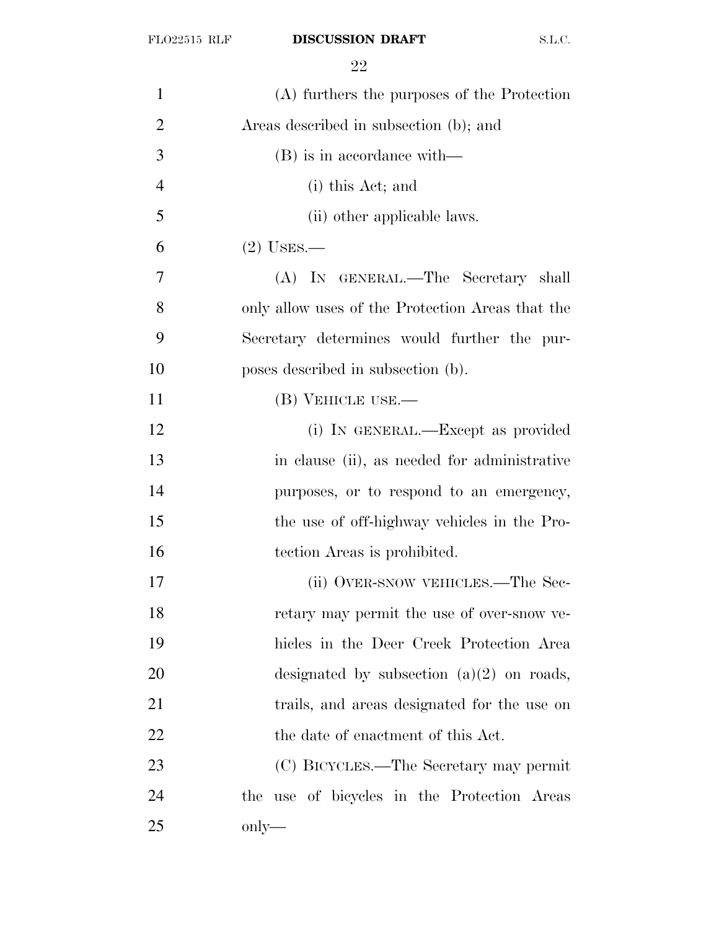| 1              | (A) furthers the purposes of the Protection      |
|----------------|--------------------------------------------------|
| $\overline{2}$ | Areas described in subsection (b); and           |
| 3              | (B) is in accordance with—                       |
| $\overline{4}$ | (i) this Act; and                                |
| 5              | (ii) other applicable laws.                      |
| 6              | $(2)$ USES.—                                     |
| 7              | (A) IN GENERAL.—The Secretary shall              |
| 8              | only allow uses of the Protection Areas that the |
| 9              | Secretary determines would further the pur-      |
| 10             | poses described in subsection (b).               |
| 11             | (B) VEHICLE USE.—                                |
| 12             | (i) IN GENERAL.—Except as provided               |
| 13             | in clause (ii), as needed for administrative     |
| 14             | purposes, or to respond to an emergency,         |
| 15             | the use of off-highway vehicles in the Pro-      |
| 16             | tection Areas is prohibited.                     |
| 17             | (ii) OVER-SNOW VEHICLES.—The Sec-                |
| 18             | retary may permit the use of over-snow ve-       |
| 19             | hicles in the Deer Creek Protection Area         |
| 20             | designated by subsection $(a)(2)$ on roads,      |
| 21             | trails, and areas designated for the use on      |
| 22             | the date of enactment of this Act.               |
| 23             | (C) BICYCLES.—The Secretary may permit           |
| 24             | the use of bicycles in the Protection Areas      |
| 25             | only—                                            |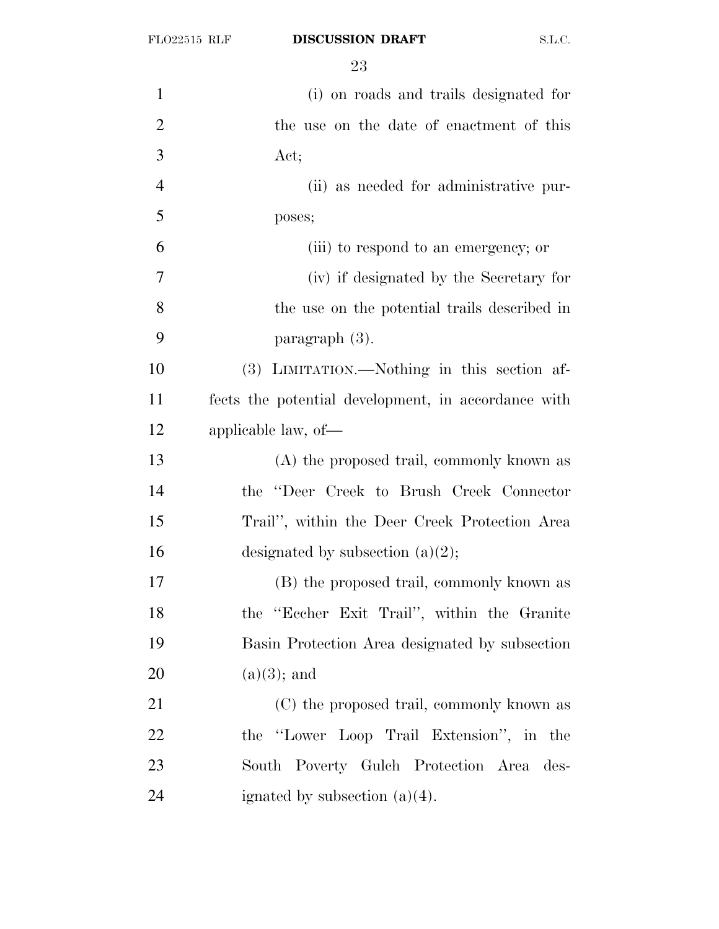| $\mathbf{1}$   | (i) on roads and trails designated for              |
|----------------|-----------------------------------------------------|
| $\overline{2}$ | the use on the date of enactment of this            |
| 3              | Act;                                                |
| $\overline{4}$ | (ii) as needed for administrative pur-              |
| 5              | poses;                                              |
| 6              | (iii) to respond to an emergency; or                |
| 7              | (iv) if designated by the Secretary for             |
| 8              | the use on the potential trails described in        |
| 9              | paragraph (3).                                      |
| 10             | (3) LIMITATION.—Nothing in this section af-         |
| 11             | fects the potential development, in accordance with |
| 12             | applicable law, of-                                 |
| 13             | (A) the proposed trail, commonly known as           |
| 14             | the "Deer Creek to Brush Creek Connector            |
| 15             | Trail", within the Deer Creek Protection Area       |
| 16             | designated by subsection $(a)(2)$ ;                 |
| 17             | (B) the proposed trail, commonly known as           |
| 18             | the "Eccher Exit Trail", within the Granite         |
| 19             | Basin Protection Area designated by subsection      |
| 20             | $(a)(3)$ ; and                                      |
| 21             | (C) the proposed trail, commonly known as           |
| 22             | the "Lower Loop Trail Extension", in the            |
| 23             | South Poverty Gulch Protection Area des-            |
| 24             | ignated by subsection $(a)(4)$ .                    |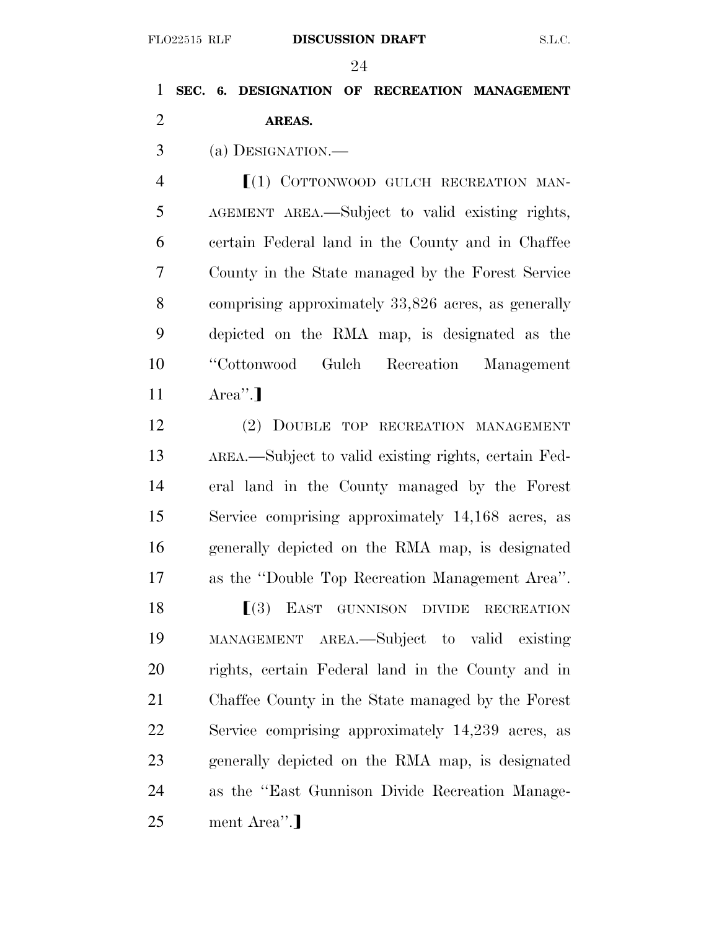# **SEC. 6. DESIGNATION OF RECREATION MANAGEMENT AREAS.**

(a) DESIGNATION.—

**II**(1) COTTONWOOD GULCH RECREATION MAN- AGEMENT AREA.—Subject to valid existing rights, certain Federal land in the County and in Chaffee County in the State managed by the Forest Service comprising approximately 33,826 acres, as generally depicted on the RMA map, is designated as the ''Cottonwood Gulch Recreation Management  $11 \qquad \text{Area}$ ".

 (2) DOUBLE TOP RECREATION MANAGEMENT AREA.—Subject to valid existing rights, certain Fed- eral land in the County managed by the Forest Service comprising approximately 14,168 acres, as generally depicted on the RMA map, is designated as the ''Double Top Recreation Management Area''.

**ICE IS IN THE SET GUNNISON DIVIDE RECREATION**  MANAGEMENT AREA.—Subject to valid existing rights, certain Federal land in the County and in Chaffee County in the State managed by the Forest Service comprising approximately 14,239 acres, as generally depicted on the RMA map, is designated as the ''East Gunnison Divide Recreation Manage-25 ment Area<sup>".</sup>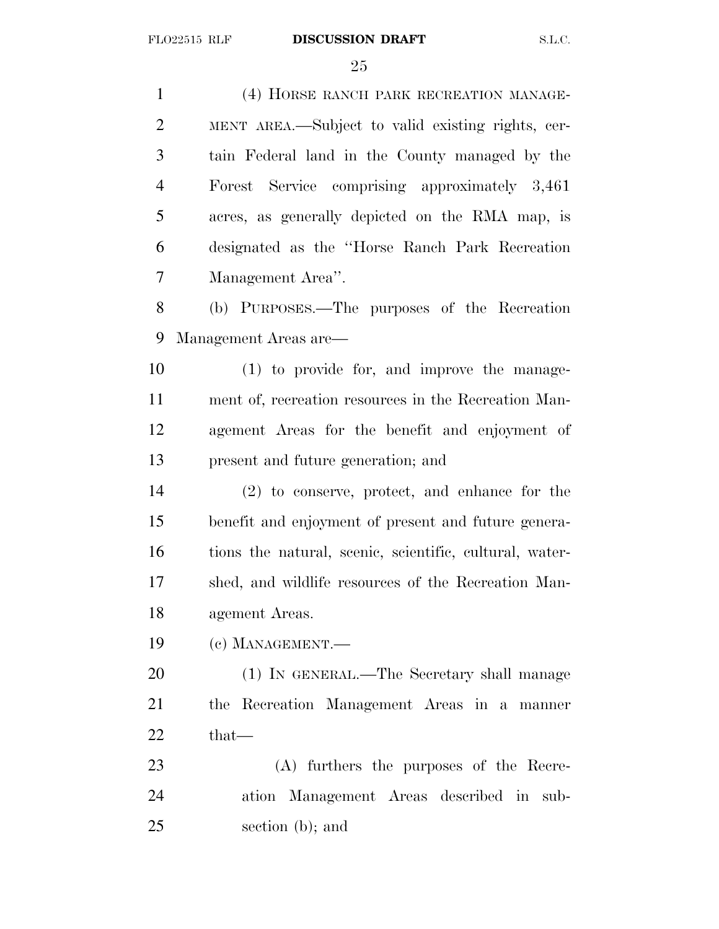(4) HORSE RANCH PARK RECREATION MANAGE- MENT AREA.—Subject to valid existing rights, cer- tain Federal land in the County managed by the Forest Service comprising approximately 3,461 acres, as generally depicted on the RMA map, is designated as the ''Horse Ranch Park Recreation Management Area''. (b) PURPOSES.—The purposes of the Recreation Management Areas are— (1) to provide for, and improve the manage- ment of, recreation resources in the Recreation Man- agement Areas for the benefit and enjoyment of present and future generation; and (2) to conserve, protect, and enhance for the benefit and enjoyment of present and future genera- tions the natural, scenic, scientific, cultural, water- shed, and wildlife resources of the Recreation Man- agement Areas. (c) MANAGEMENT.— (1) IN GENERAL.—The Secretary shall manage the Recreation Management Areas in a manner that— (A) furthers the purposes of the Recre- ation Management Areas described in sub-section (b); and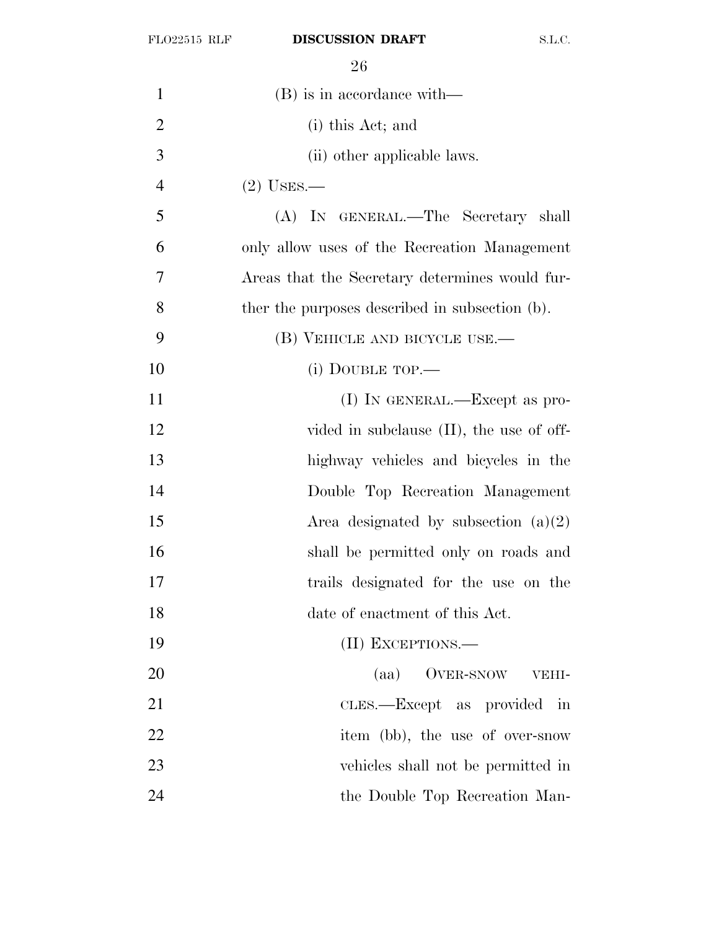| $\mathbf{1}$   | $(B)$ is in accordance with—                   |
|----------------|------------------------------------------------|
| $\overline{2}$ | (i) this Act; and                              |
| 3              | (ii) other applicable laws.                    |
| $\overline{4}$ | $(2)$ USES.—                                   |
| 5              | (A) IN GENERAL.—The Secretary shall            |
| 6              | only allow uses of the Recreation Management   |
| 7              | Areas that the Secretary determines would fur- |
| 8              | ther the purposes described in subsection (b). |
| 9              | (B) VEHICLE AND BICYCLE USE.—                  |
| 10             | (i) DOUBLE TOP.-                               |
| 11             | $(I)$ In GENERAL.—Except as pro-               |
| 12             | vided in subclause $(II)$ , the use of off-    |
| 13             | highway vehicles and bicycles in the           |
| 14             | Double Top Recreation Management               |
| 15             | Area designated by subsection $(a)(2)$         |
| 16             | shall be permitted only on roads and           |
| 17             | trails designated for the use on the           |
| 18             | date of enactment of this Act.                 |
| 19             | (II) EXCEPTIONS.—                              |
| 20             | OVER-SNOW<br>(aa)<br>VEHI-                     |
| 21             | CLES.—Except as provided<br>in                 |
| 22             | item (bb), the use of over-snow                |
| 23             | vehicles shall not be permitted in             |
| 24             | the Double Top Recreation Man-                 |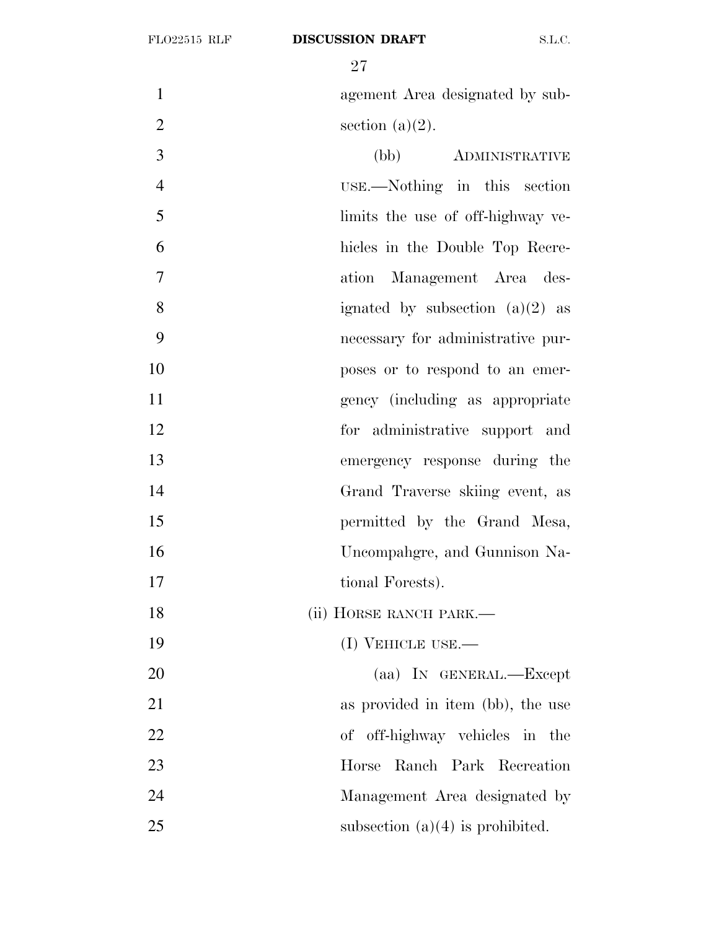1 agement Area designated by sub-2 section  $(a)(2)$ . (bb) ADMINISTRATIVE USE.—Nothing in this section limits the use of off-highway ve- hicles in the Double Top Recre- ation Management Area des-8 ignated by subsection  $(a)(2)$  as necessary for administrative pur- poses or to respond to an emer- gency (including as appropriate for administrative support and emergency response during the Grand Traverse skiing event, as permitted by the Grand Mesa,

 Uncompahgre, and Gunnison Na-17 tional Forests).

18 (ii) HORSE RANCH PARK.—

19 (I) VEHICLE USE.—

20 (aa) IN GENERAL.—Except 21 as provided in item (bb), the use of off-highway vehicles in the Horse Ranch Park Recreation Management Area designated by 25 subsection  $(a)(4)$  is prohibited.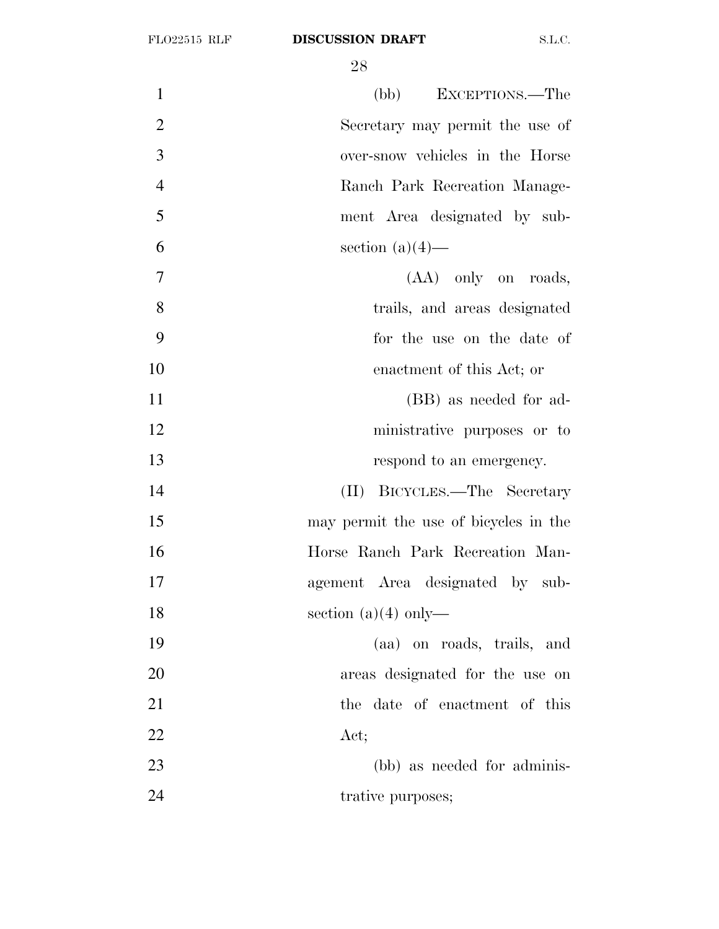| $\mathbf{1}$   | (bb) EXCEPTIONS.—The                  |
|----------------|---------------------------------------|
| $\overline{2}$ | Secretary may permit the use of       |
| 3              | over-snow vehicles in the Horse       |
| $\overline{4}$ | Ranch Park Recreation Manage-         |
| 5              | ment Area designated by sub-          |
| 6              | section $(a)(4)$ —                    |
| $\tau$         | $(AA)$ only on roads,                 |
| 8              | trails, and areas designated          |
| 9              | for the use on the date of            |
| 10             | enactment of this Act; or             |
| 11             | (BB) as needed for ad-                |
| 12             | ministrative purposes or to           |
| 13             | respond to an emergency.              |
| 14             | (II) BICYCLES.—The Secretary          |
| 15             | may permit the use of bicycles in the |
| 16             | Horse Ranch Park Recreation Man-      |
| 17             | agement Area designated by sub-       |
| 18             | section $(a)(4)$ only—                |
| 19             | (aa) on roads, trails, and            |
| 20             | areas designated for the use on       |
| 21             | the date of enactment of this         |
| 22             | Act;                                  |
| 23             | (bb) as needed for adminis-           |
| 24             | trative purposes;                     |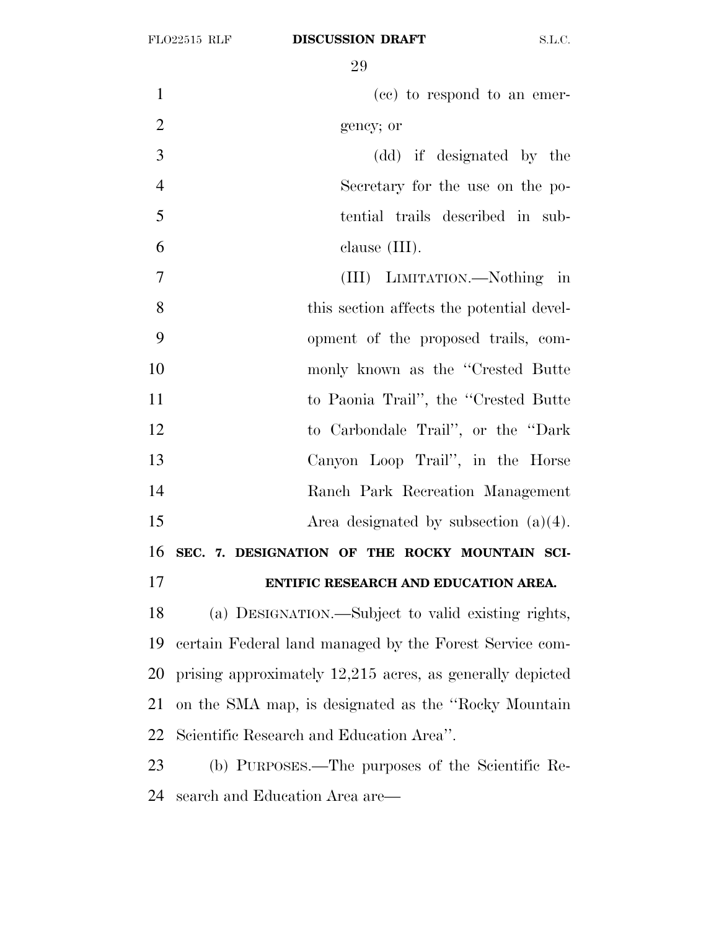| $\mathbf{1}$   | (cc) to respond to an emer-                               |
|----------------|-----------------------------------------------------------|
| $\overline{2}$ | gency; or                                                 |
| 3              | (dd) if designated by the                                 |
| $\overline{4}$ | Secretary for the use on the po-                          |
| 5              | tential trails described in sub-                          |
| 6              | clause $(III)$ .                                          |
| $\overline{7}$ | (III) LIMITATION.—Nothing in                              |
| 8              | this section affects the potential devel-                 |
| 9              | opment of the proposed trails, com-                       |
| 10             | monly known as the "Crested Butte"                        |
| 11             | to Paonia Trail", the "Crested Butte                      |
| 12             | to Carbondale Trail", or the "Dark                        |
| 13             | Canyon Loop Trail", in the Horse                          |
| 14             | Ranch Park Recreation Management                          |
| 15             | Area designated by subsection $(a)(4)$ .                  |
| 16             | SEC. 7. DESIGNATION OF THE ROCKY MOUNTAIN SCI-            |
| 17             | ENTIFIC RESEARCH AND EDUCATION AREA.                      |
| 18             | (a) DESIGNATION.—Subject to valid existing rights,        |
| 19             | certain Federal land managed by the Forest Service com-   |
| 20             | prising approximately 12,215 acres, as generally depicted |
| 21             | on the SMA map, is designated as the "Rocky Mountain"     |
| 22             | Scientific Research and Education Area".                  |
| 23             | (b) PURPOSES.—The purposes of the Scientific Re-          |
| 24             | search and Education Area are—                            |
|                |                                                           |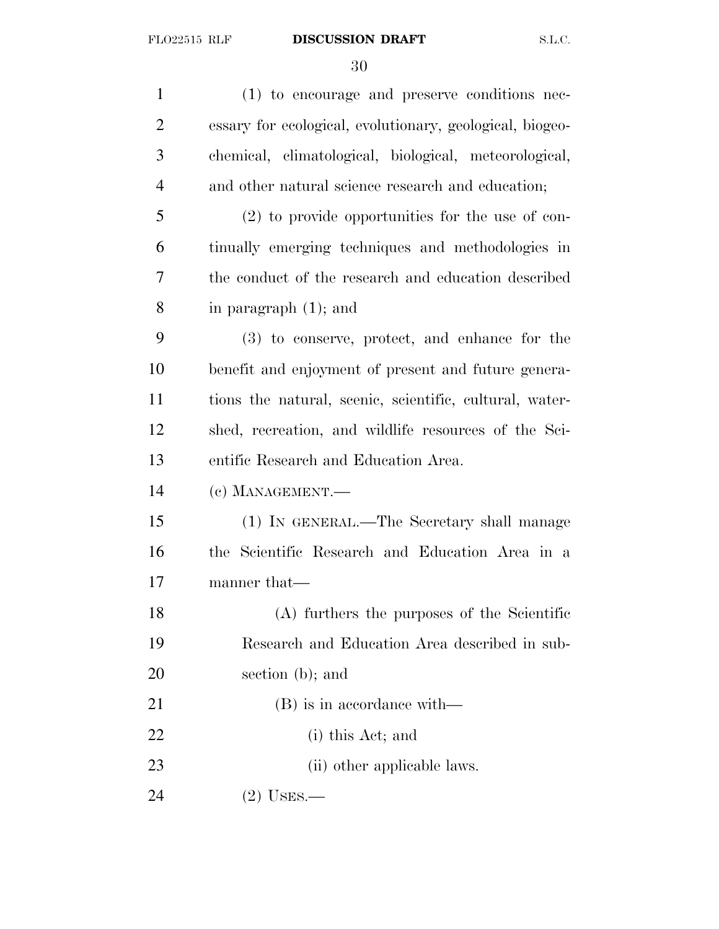(1) to encourage and preserve conditions nec- essary for ecological, evolutionary, geological, biogeo- chemical, climatological, biological, meteorological, and other natural science research and education; (2) to provide opportunities for the use of con- tinually emerging techniques and methodologies in the conduct of the research and education described in paragraph (1); and (3) to conserve, protect, and enhance for the benefit and enjoyment of present and future genera- tions the natural, scenic, scientific, cultural, water- shed, recreation, and wildlife resources of the Sci- entific Research and Education Area. (c) MANAGEMENT.— (1) IN GENERAL.—The Secretary shall manage the Scientific Research and Education Area in a manner that— (A) furthers the purposes of the Scientific Research and Education Area described in sub- section (b); and 21 (B) is in accordance with— (i) this Act; and 23 (ii) other applicable laws. (2) USES.—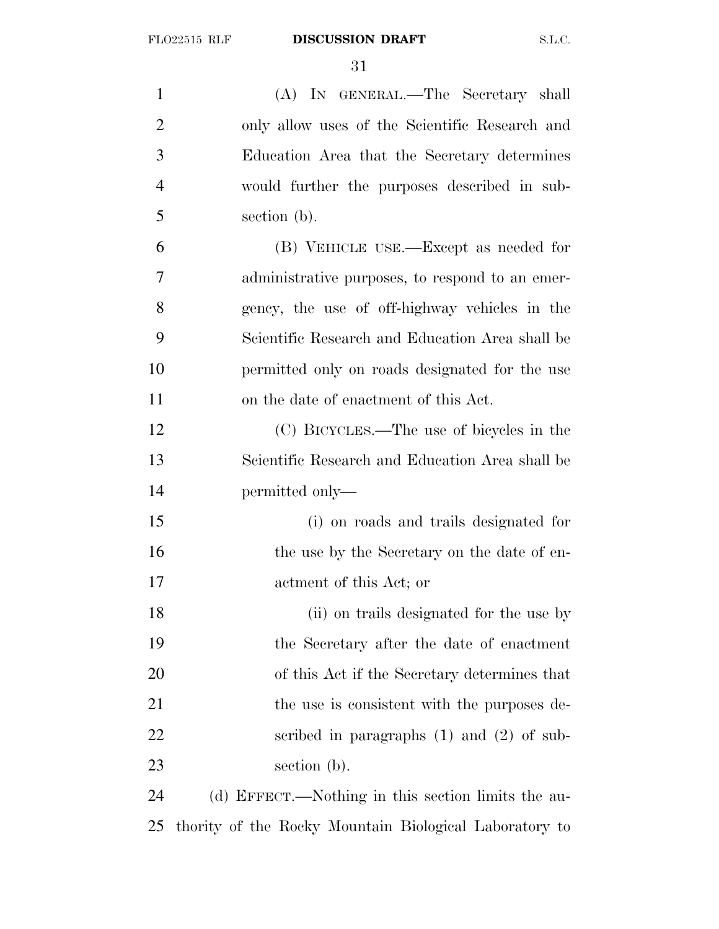| $\mathbf{1}$   | (A) IN GENERAL.—The Secretary shall                    |
|----------------|--------------------------------------------------------|
| $\overline{2}$ | only allow uses of the Scientific Research and         |
| 3              | Education Area that the Secretary determines           |
| $\overline{4}$ | would further the purposes described in sub-           |
| 5              | section (b).                                           |
| 6              | (B) VEHICLE USE.—Except as needed for                  |
| 7              | administrative purposes, to respond to an emer-        |
| 8              | gency, the use of off-highway vehicles in the          |
| 9              | Scientific Research and Education Area shall be        |
| 10             | permitted only on roads designated for the use         |
| 11             | on the date of enactment of this Act.                  |
| 12             | (C) BICYCLES.—The use of bicycles in the               |
| 13             | Scientific Research and Education Area shall be        |
| 14             | permitted only—                                        |
| 15             | (i) on roads and trails designated for                 |
| 16             | the use by the Secretary on the date of en-            |
| 17             | actment of this Act; or                                |
| 18             | (ii) on trails designated for the use by               |
| 19             | the Secretary after the date of enactment              |
| 20             | of this Act if the Secretary determines that           |
| 21             | the use is consistent with the purposes de-            |
| 22             | scribed in paragraphs $(1)$ and $(2)$ of sub-          |
| 23             | section (b).                                           |
| 24             | (d) EFFECT.—Nothing in this section limits the au-     |
| 25             | thority of the Rocky Mountain Biological Laboratory to |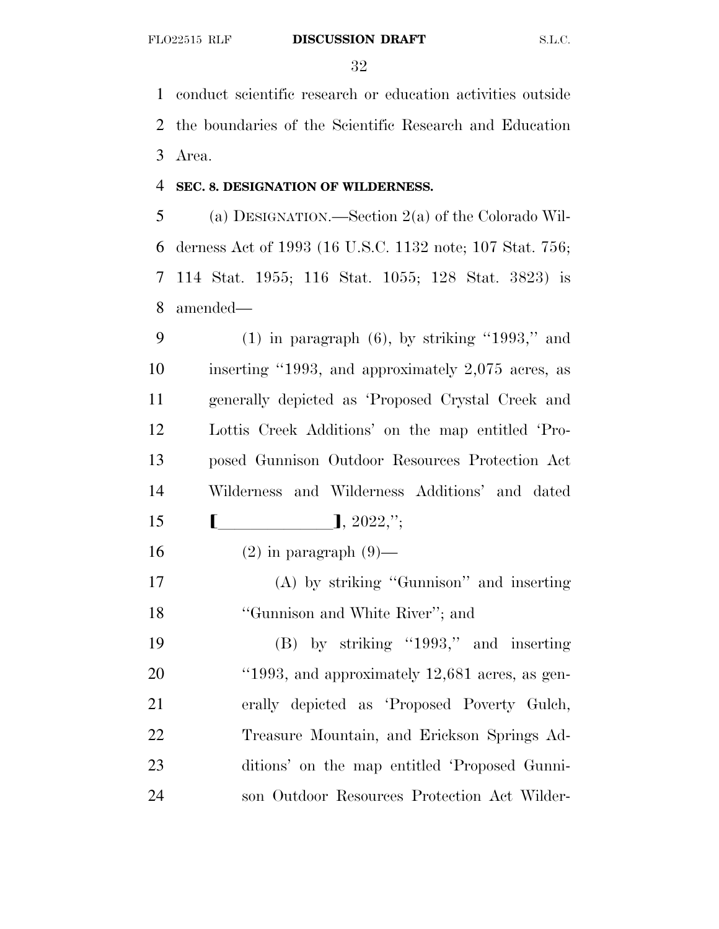conduct scientific research or education activities outside the boundaries of the Scientific Research and Education Area.

#### **SEC. 8. DESIGNATION OF WILDERNESS.**

 (a) DESIGNATION.—Section 2(a) of the Colorado Wil- derness Act of 1993 (16 U.S.C. 1132 note; 107 Stat. 756; 114 Stat. 1955; 116 Stat. 1055; 128 Stat. 3823) is amended—

9 (1) in paragraph  $(6)$ , by striking "1993," and inserting ''1993, and approximately 2,075 acres, as generally depicted as 'Proposed Crystal Creek and Lottis Creek Additions' on the map entitled 'Pro- posed Gunnison Outdoor Resources Protection Act Wilderness and Wilderness Additions' and dated  $\llbracket$ , 2022,";

16  $(2)$  in paragraph  $(9)$ —

 (A) by striking ''Gunnison'' and inserting 18 "Gunnison and White River"; and

 (B) by striking ''1993,'' and inserting 20 "1993, and approximately 12,681 acres, as gen- erally depicted as 'Proposed Poverty Gulch, Treasure Mountain, and Erickson Springs Ad- ditions' on the map entitled 'Proposed Gunni-son Outdoor Resources Protection Act Wilder-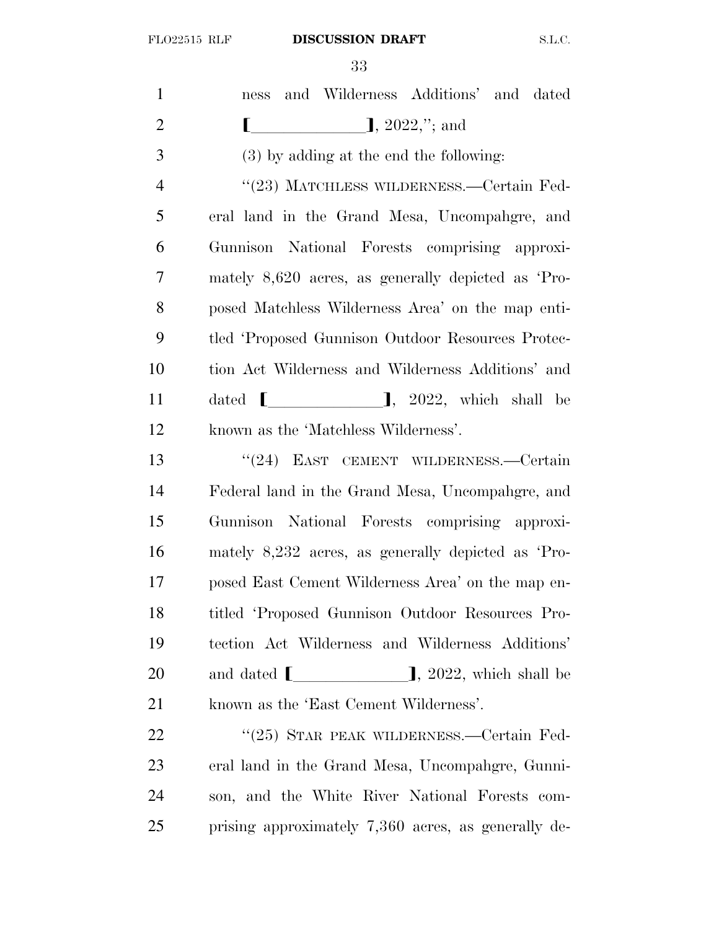| $\mathbf{1}$   | ness and Wilderness Additions' and dated                     |
|----------------|--------------------------------------------------------------|
| $\overline{2}$ | $\left[ \right]$ , 2022,"; and                               |
| 3              | $(3)$ by adding at the end the following:                    |
| 4              | "(23) MATCHLESS WILDERNESS.—Certain Fed-                     |
| 5              | eral land in the Grand Mesa, Uncompangre, and                |
| 6              | Gunnison National Forests comprising approxi-                |
| 7              | mately $8,620$ acres, as generally depicted as 'Pro-         |
| 8              | posed Matchless Wilderness Area' on the map enti-            |
| 9              | tled 'Proposed Gunnison Outdoor Resources Protec-            |
| 10             | tion Act Wilderness and Wilderness Additions' and            |
| 11             | dated $\begin{bmatrix} \end{bmatrix}$ , 2022, which shall be |
| 12             | known as the 'Matchless Wilderness'.                         |
| 13             | "(24) EAST CEMENT WILDERNESS.—Certain                        |
| 14             | Federal land in the Grand Mesa, Uncompahgre, and             |
| 15             | Gunnison National Forests comprising approxi-                |
| 16             | mately 8,232 acres, as generally depicted as 'Pro-           |
| 17             | posed East Cement Wilderness Area' on the map en-            |
| 18             | titled 'Proposed Gunnison Outdoor Resources Pro-             |
| 19             | tection Act Wilderness and Wilderness Additions'             |
| 20             | and dated $\boxed{\phantom{12367}}$ , 2022, which shall be   |
| 21             | known as the 'East Cement Wilderness'.                       |
| 22             | "(25) STAR PEAK WILDERNESS.—Certain Fed-                     |
| 23             | eral land in the Grand Mesa, Uncompangre, Gunni-             |
| 24             | son, and the White River National Forests com-               |
| 25             | prising approximately 7,360 acres, as generally de-          |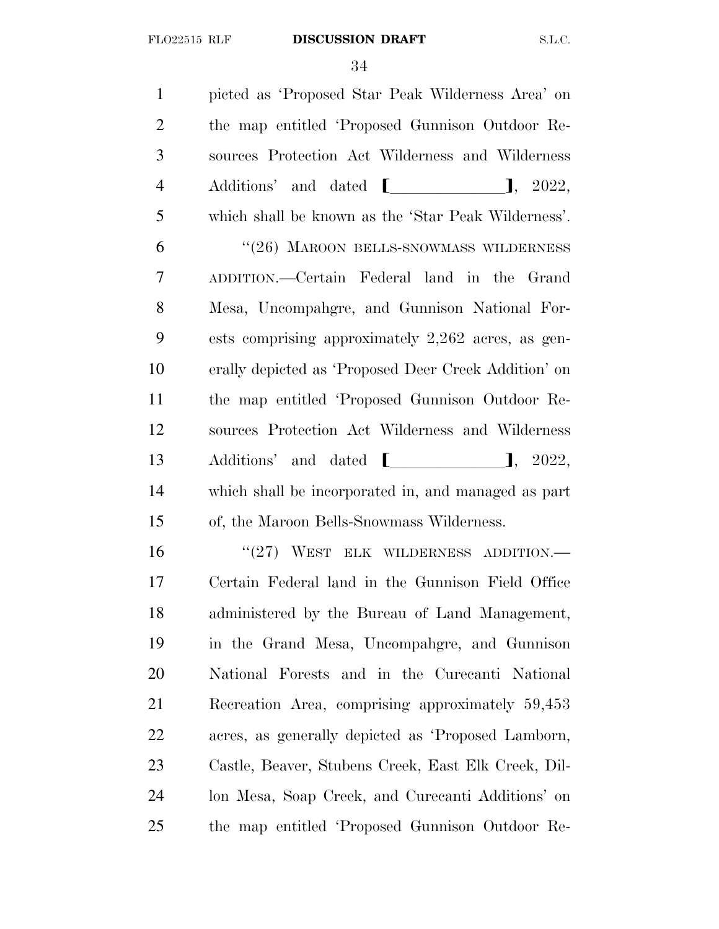picted as 'Proposed Star Peak Wilderness Area' on the map entitled 'Proposed Gunnison Outdoor Re- sources Protection Act Wilderness and Wilderness 4 Additions' and dated  $\blacksquare$ , 2022, which shall be known as the 'Star Peak Wilderness'. 6 "(26) MAROON BELLS-SNOWMASS WILDERNESS ADDITION.—Certain Federal land in the Grand Mesa, Uncompahgre, and Gunnison National For- ests comprising approximately 2,262 acres, as gen- erally depicted as 'Proposed Deer Creek Addition' on the map entitled 'Proposed Gunnison Outdoor Re- sources Protection Act Wilderness and Wilderness 13 Additions' and dated  $\blacksquare$ , 2022, which shall be incorporated in, and managed as part of, the Maroon Bells-Snowmass Wilderness. 16 "(27) WEST ELK WILDERNESS ADDITION.—

 Certain Federal land in the Gunnison Field Office administered by the Bureau of Land Management, in the Grand Mesa, Uncompahgre, and Gunnison National Forests and in the Curecanti National Recreation Area, comprising approximately 59,453 acres, as generally depicted as 'Proposed Lamborn, Castle, Beaver, Stubens Creek, East Elk Creek, Dil- lon Mesa, Soap Creek, and Curecanti Additions' on the map entitled 'Proposed Gunnison Outdoor Re-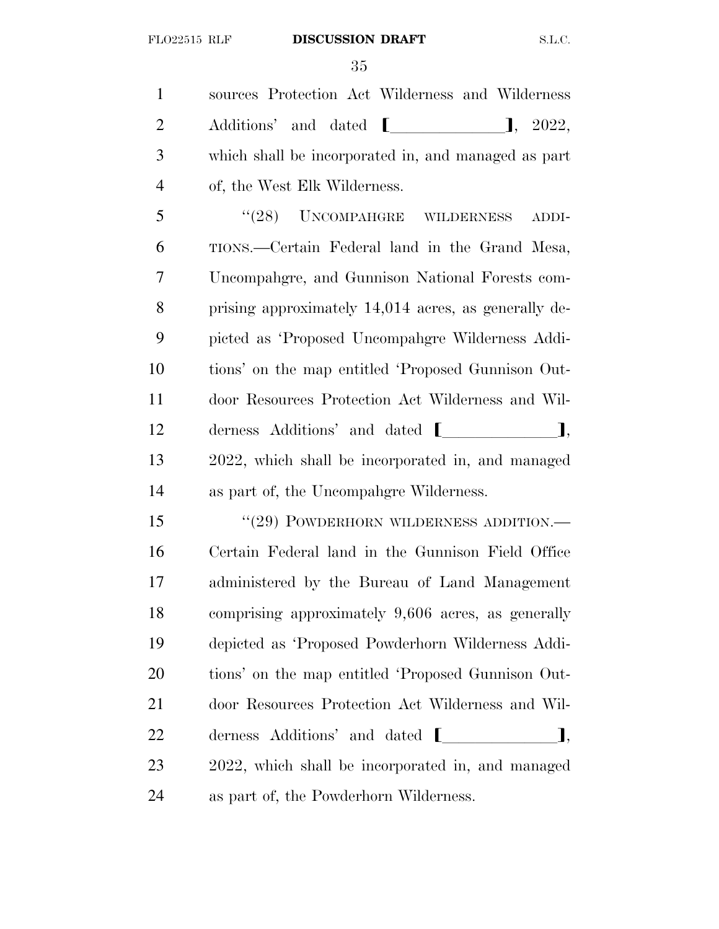sources Protection Act Wilderness and Wilderness 2 Additions' and dated  $\blacksquare$ , 2022, which shall be incorporated in, and managed as part of, the West Elk Wilderness.

5 "(28) UNCOMPAHGRE WILDERNESS ADDI- TIONS.—Certain Federal land in the Grand Mesa, Uncompahgre, and Gunnison National Forests com- prising approximately 14,014 acres, as generally de- picted as 'Proposed Uncompahgre Wilderness Addi- tions' on the map entitled 'Proposed Gunnison Out- door Resources Protection Act Wilderness and Wil-12 derness Additions' and dated  $\blacksquare$  2022, which shall be incorporated in, and managed as part of, the Uncompahgre Wilderness.

15 "(29) POWDERHORN WILDERNESS ADDITION.— Certain Federal land in the Gunnison Field Office administered by the Bureau of Land Management comprising approximately 9,606 acres, as generally depicted as 'Proposed Powderhorn Wilderness Addi- tions' on the map entitled 'Proposed Gunnison Out- door Resources Protection Act Wilderness and Wil- derness Additions' and dated  $\blacksquare$  2022, which shall be incorporated in, and managed as part of, the Powderhorn Wilderness.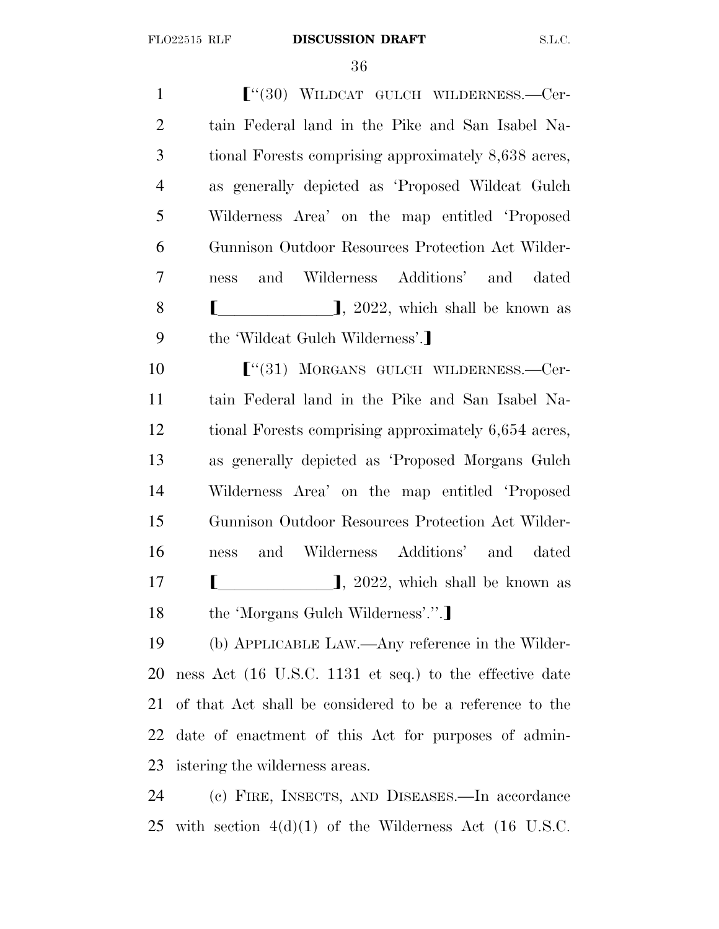**F**<sup>"</sup>(30) WILDCAT GULCH WILDERNESS.—Cer- tain Federal land in the Pike and San Isabel Na- tional Forests comprising approximately 8,638 acres, as generally depicted as 'Proposed Wildcat Gulch Wilderness Area' on the map entitled 'Proposed Gunnison Outdoor Resources Protection Act Wilder- ness and Wilderness Additions' and dated **[** ], 2022, which shall be known as 9 the 'Wildcat Gulch Wilderness'.]  $\lbrack$   $\lbrack$   $\lbrack$   $\lbrack$   $\lbrack$   $\lbrack$   $\lbrack$   $\lbrack$   $\lbrack$   $\lbrack$   $\lbrack$   $\lbrack$   $\lbrack$   $\lbrack$   $\lbrack$   $\lbrack$   $\lbrack$   $\lbrack$   $\lbrack$   $\lbrack$   $\lbrack$   $\lbrack$   $\lbrack$   $\lbrack$   $\lbrack$   $\lbrack$   $\lbrack$   $\lbrack$   $\lbrack$   $\lbrack$   $\lbrack$   $\$  tain Federal land in the Pike and San Isabel Na-tional Forests comprising approximately 6,654 acres,

 as generally depicted as 'Proposed Morgans Gulch Wilderness Area' on the map entitled 'Proposed Gunnison Outdoor Resources Protection Act Wilder- ness and Wilderness Additions' and dated  $\blacksquare$   $\blacksquare$ , 2022, which shall be known as 18 the 'Morgans Gulch Wilderness'.".

 (b) APPLICABLE LAW.—Any reference in the Wilder- ness Act (16 U.S.C. 1131 et seq.) to the effective date of that Act shall be considered to be a reference to the date of enactment of this Act for purposes of admin-istering the wilderness areas.

 (c) FIRE, INSECTS, AND DISEASES.—In accordance with section 4(d)(1) of the Wilderness Act (16 U.S.C.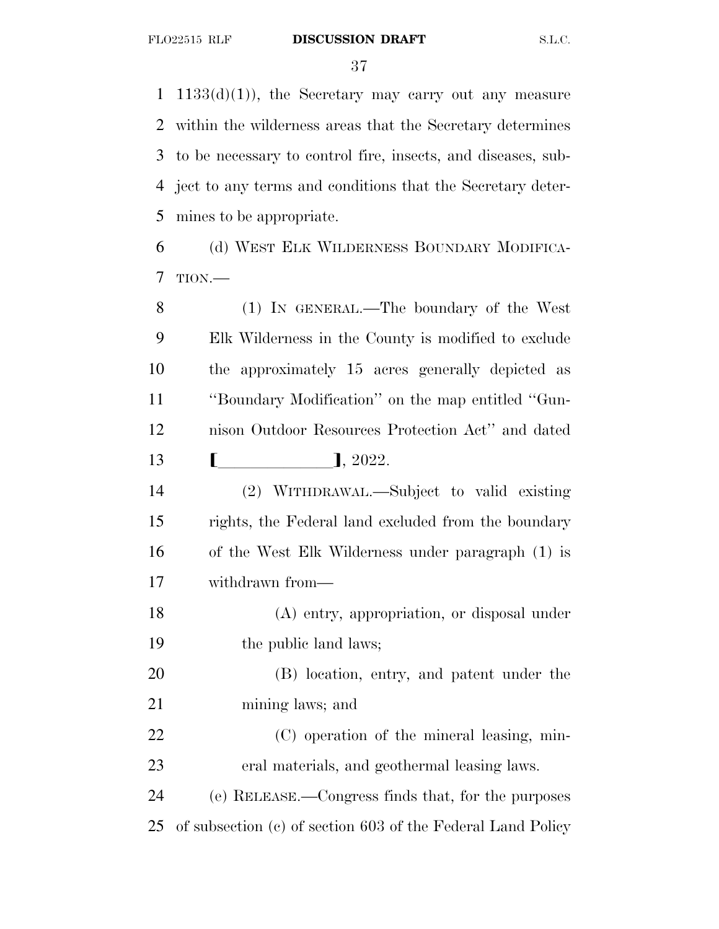$1133(d)(1)$ , the Secretary may carry out any measure within the wilderness areas that the Secretary determines to be necessary to control fire, insects, and diseases, sub- ject to any terms and conditions that the Secretary deter-mines to be appropriate.

 (d) WEST ELK WILDERNESS BOUNDARY MODIFICA-TION.—

 (1) IN GENERAL.—The boundary of the West Elk Wilderness in the County is modified to exclude the approximately 15 acres generally depicted as ''Boundary Modification'' on the map entitled ''Gun- nison Outdoor Resources Protection Act'' and dated **[**  $\qquad \qquad$  1, 2022.

 (2) WITHDRAWAL.—Subject to valid existing rights, the Federal land excluded from the boundary of the West Elk Wilderness under paragraph (1) is withdrawn from—

 (A) entry, appropriation, or disposal under 19 the public land laws;

 (B) location, entry, and patent under the mining laws; and

 (C) operation of the mineral leasing, min-eral materials, and geothermal leasing laws.

 (e) RELEASE.—Congress finds that, for the purposes of subsection (c) of section 603 of the Federal Land Policy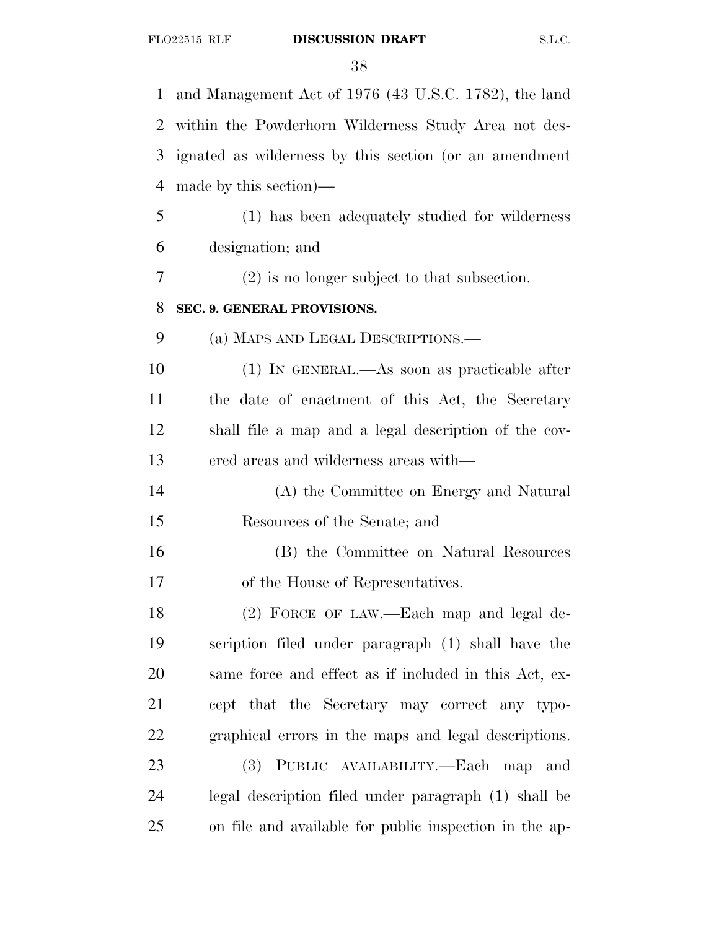| 1              | and Management Act of 1976 (43 U.S.C. 1782), the land  |
|----------------|--------------------------------------------------------|
| 2              | within the Powderhorn Wilderness Study Area not des-   |
| 3              | ignated as wilderness by this section (or an amendment |
| $\overline{4}$ | made by this section)—                                 |
| 5              | (1) has been adequately studied for wilderness         |
| 6              | designation; and                                       |
| 7              | $(2)$ is no longer subject to that subsection.         |
| 8              | SEC. 9. GENERAL PROVISIONS.                            |
| 9              | (a) MAPS AND LEGAL DESCRIPTIONS.—                      |
| 10             | (1) IN GENERAL.—As soon as practicable after           |
| 11             | the date of enactment of this Act, the Secretary       |
| 12             | shall file a map and a legal description of the cov-   |
| 13             | ered areas and wilderness areas with—                  |
| 14             | (A) the Committee on Energy and Natural                |
| 15             | Resources of the Senate; and                           |
| 16             | (B) the Committee on Natural Resources                 |
| 17             | of the House of Representatives.                       |
| 18             | (2) FORCE OF LAW.—Each map and legal de-               |
| 19             | scription filed under paragraph (1) shall have the     |
| 20             | same force and effect as if included in this Act, ex-  |
| 21             | cept that the Secretary may correct any typo-          |
| 22             | graphical errors in the maps and legal descriptions.   |
| 23             | PUBLIC AVAILABILITY.—Each map<br><b>(3)</b><br>and     |
| 24             | legal description filed under paragraph (1) shall be   |
| 25             | on file and available for public inspection in the ap- |
|                |                                                        |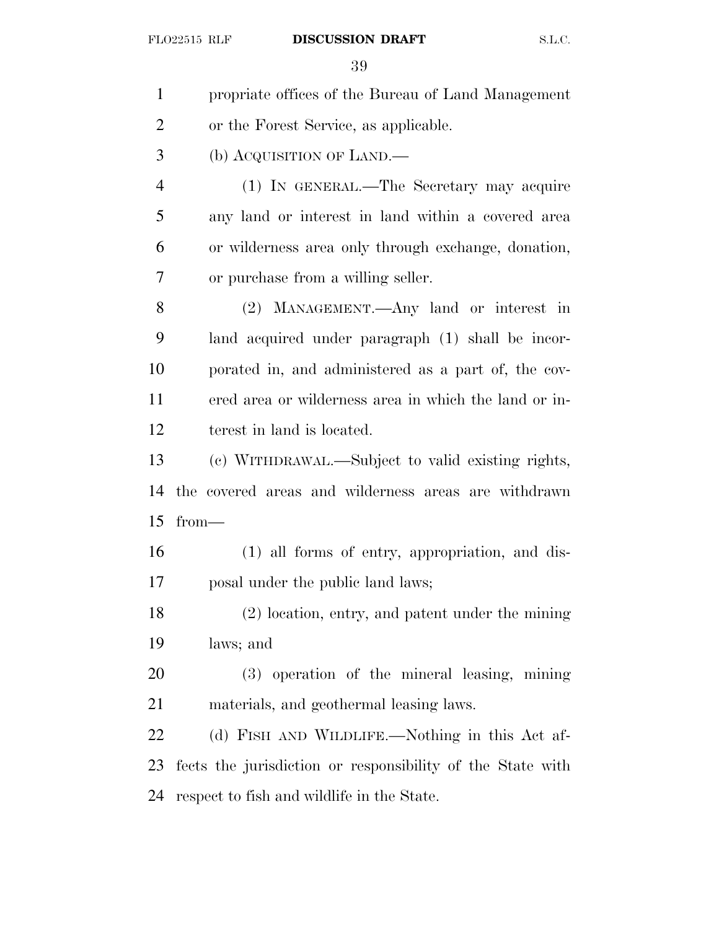| $\mathbf{1}$   | propriate offices of the Bureau of Land Management         |
|----------------|------------------------------------------------------------|
| $\overline{2}$ | or the Forest Service, as applicable.                      |
| 3              | (b) ACQUISITION OF LAND.—                                  |
| $\overline{4}$ | (1) IN GENERAL.—The Secretary may acquire                  |
| 5              | any land or interest in land within a covered area         |
| 6              | or wilderness area only through exchange, donation,        |
| 7              | or purchase from a willing seller.                         |
| 8              | (2) MANAGEMENT.—Any land or interest in                    |
| 9              | land acquired under paragraph (1) shall be incor-          |
| 10             | porated in, and administered as a part of, the cov-        |
| 11             | ered area or wilderness area in which the land or in-      |
| 12             | terest in land is located.                                 |
| 13             | (c) WITHDRAWAL.—Subject to valid existing rights,          |
| 14             | the covered areas and wilderness areas are withdrawn       |
| 15             | $from-$                                                    |
| 16             | (1) all forms of entry, appropriation, and dis-            |
| 17             | posal under the public land laws;                          |
| 18             | (2) location, entry, and patent under the mining           |
| 19             | laws; and                                                  |
| 20             | (3) operation of the mineral leasing, mining               |
| 21             | materials, and geothermal leasing laws.                    |
| 22             | (d) FISH AND WILDLIFE.—Nothing in this Act af-             |
| 23             | fects the jurisdiction or responsibility of the State with |
| 24             | respect to fish and wildlife in the State.                 |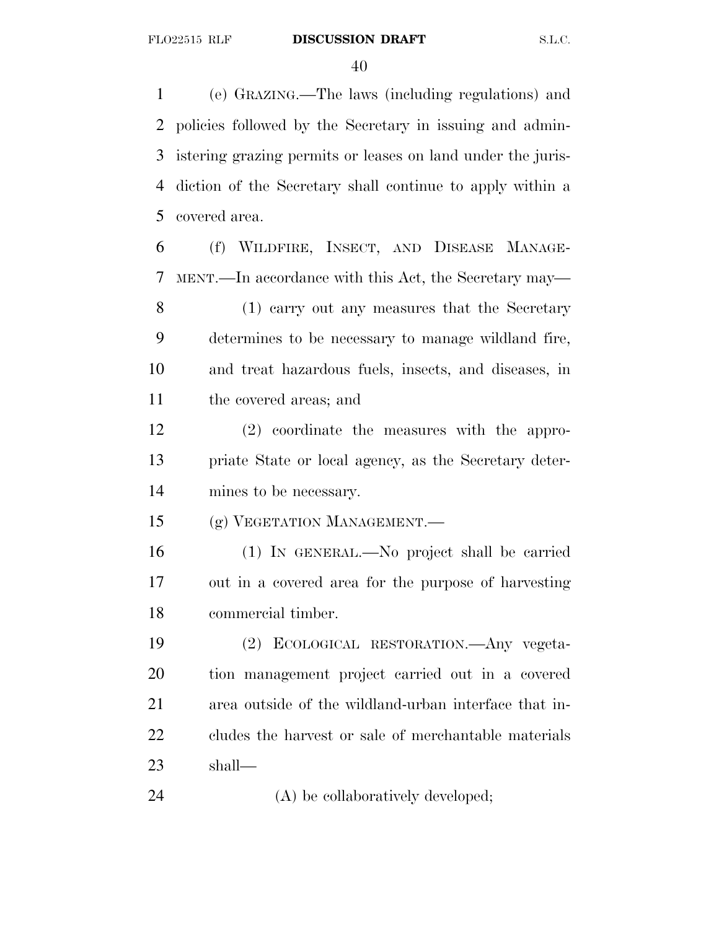(e) GRAZING.—The laws (including regulations) and policies followed by the Secretary in issuing and admin- istering grazing permits or leases on land under the juris- diction of the Secretary shall continue to apply within a covered area.

 (f) WILDFIRE, INSECT, AND DISEASE MANAGE- MENT.—In accordance with this Act, the Secretary may— (1) carry out any measures that the Secretary determines to be necessary to manage wildland fire,

 and treat hazardous fuels, insects, and diseases, in the covered areas; and

 (2) coordinate the measures with the appro- priate State or local agency, as the Secretary deter-mines to be necessary.

(g) VEGETATION MANAGEMENT.—

 (1) IN GENERAL.—No project shall be carried out in a covered area for the purpose of harvesting commercial timber.

 (2) ECOLOGICAL RESTORATION.—Any vegeta- tion management project carried out in a covered area outside of the wildland-urban interface that in- cludes the harvest or sale of merchantable materials shall—

24 (A) be collaboratively developed;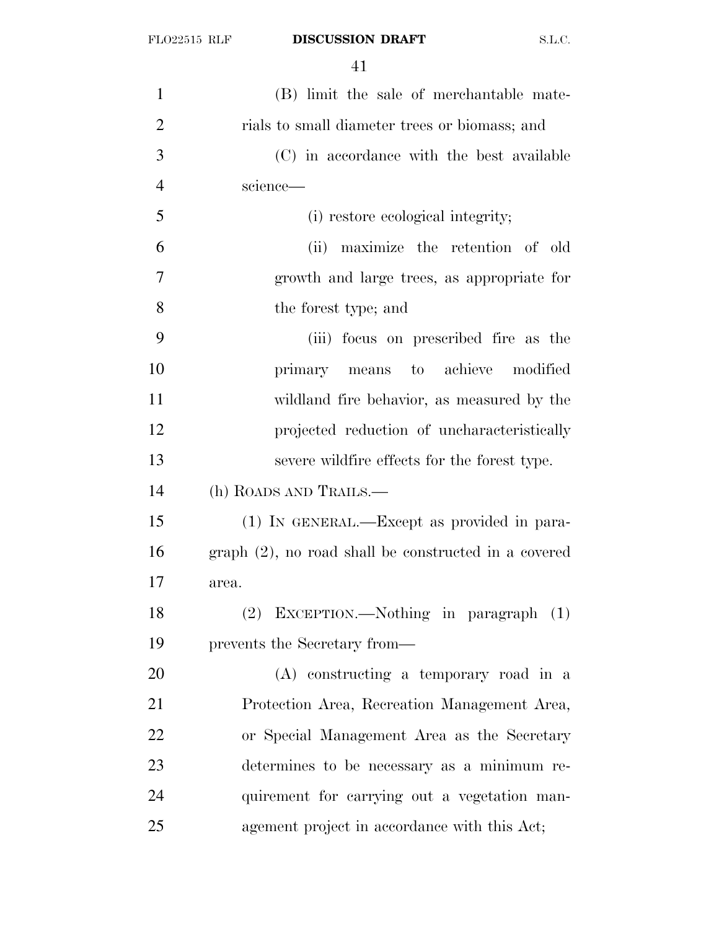| $\mathbf{1}$   | (B) limit the sale of merchantable mate-                |
|----------------|---------------------------------------------------------|
| $\overline{2}$ | rials to small diameter trees or biomass; and           |
| 3              | (C) in accordance with the best available               |
| $\overline{4}$ | science—                                                |
| 5              | (i) restore ecological integrity;                       |
| 6              | (ii) maximize the retention of old                      |
| 7              | growth and large trees, as appropriate for              |
| 8              | the forest type; and                                    |
| 9              | (iii) focus on prescribed fire as the                   |
| 10             | primary means to achieve modified                       |
| 11             | wildland fire behavior, as measured by the              |
| 12             | projected reduction of uncharacteristically             |
| 13             | severe wildfire effects for the forest type.            |
| 14             | (h) ROADS AND TRAILS.—                                  |
| 15             | $(1)$ IN GENERAL.—Except as provided in para-           |
| 16             | $graph (2)$ , no road shall be constructed in a covered |
| 17             | area.                                                   |
| 18             | (2) EXCEPTION.—Nothing in paragraph (1)                 |
| 19             | prevents the Secretary from—                            |
| 20             | (A) constructing a temporary road in a                  |
| 21             | Protection Area, Recreation Management Area,            |
| 22             | or Special Management Area as the Secretary             |
| 23             | determines to be necessary as a minimum re-             |
| 24             | quirement for carrying out a vegetation man-            |
| 25             | agement project in accordance with this Act;            |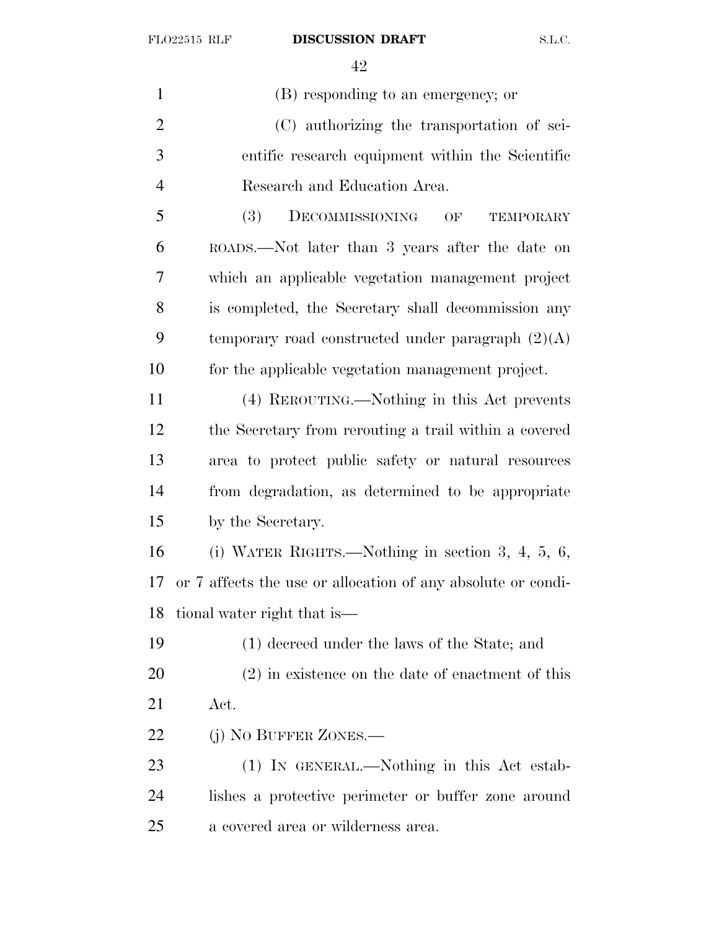(B) responding to an emergency; or (C) authorizing the transportation of sci- entific research equipment within the Scientific Research and Education Area. (3) DECOMMISSIONING OF TEMPORARY ROADS.—Not later than 3 years after the date on which an applicable vegetation management project is completed, the Secretary shall decommission any 9 temporary road constructed under paragraph  $(2)(A)$  for the applicable vegetation management project. (4) REROUTING.—Nothing in this Act prevents the Secretary from rerouting a trail within a covered area to protect public safety or natural resources from degradation, as determined to be appropriate by the Secretary. (i) WATER RIGHTS.—Nothing in section 3, 4, 5, 6, or 7 affects the use or allocation of any absolute or condi- tional water right that is— (1) decreed under the laws of the State; and (2) in existence on the date of enactment of this Act. 22 (j) No BUFFER ZONES.— (1) IN GENERAL.—Nothing in this Act estab-lishes a protective perimeter or buffer zone around

a covered area or wilderness area.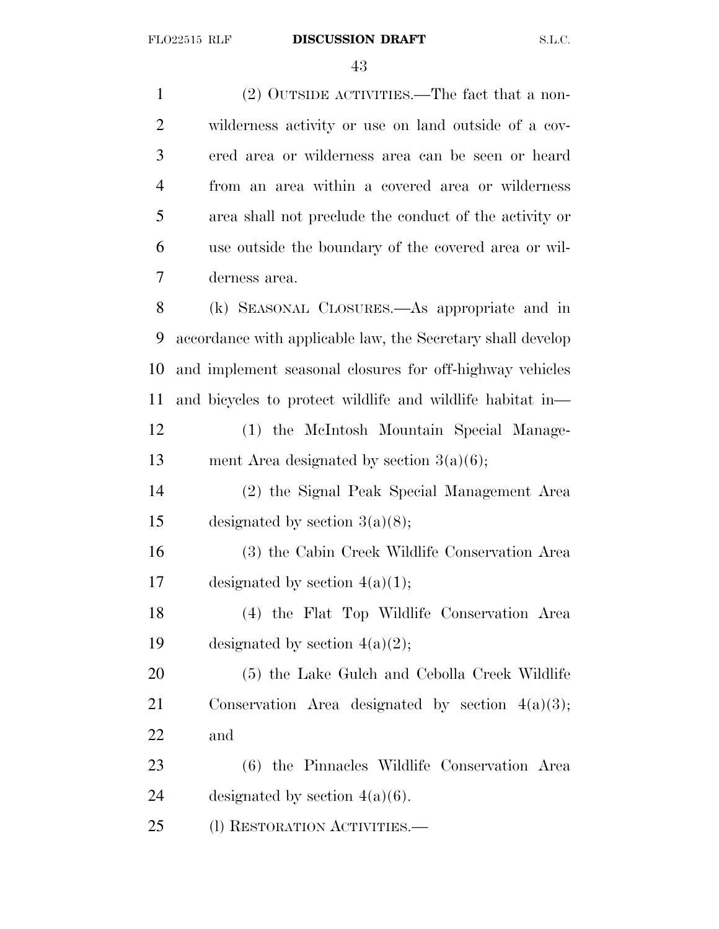(2) OUTSIDE ACTIVITIES.—The fact that a non- wilderness activity or use on land outside of a cov- ered area or wilderness area can be seen or heard from an area within a covered area or wilderness area shall not preclude the conduct of the activity or use outside the boundary of the covered area or wil- derness area. (k) SEASONAL CLOSURES.—As appropriate and in accordance with applicable law, the Secretary shall develop and implement seasonal closures for off-highway vehicles and bicycles to protect wildlife and wildlife habitat in— (1) the McIntosh Mountain Special Manage- ment Area designated by section 3(a)(6); (2) the Signal Peak Special Management Area 15 designated by section  $3(a)(8)$ ; (3) the Cabin Creek Wildlife Conservation Area 17 designated by section  $4(a)(1)$ ; (4) the Flat Top Wildlife Conservation Area 19 designated by section  $4(a)(2)$ ; (5) the Lake Gulch and Cebolla Creek Wildlife Conservation Area designated by section 4(a)(3); and (6) the Pinnacles Wildlife Conservation Area 24 designated by section  $4(a)(6)$ . 25 (1) RESTORATION ACTIVITIES.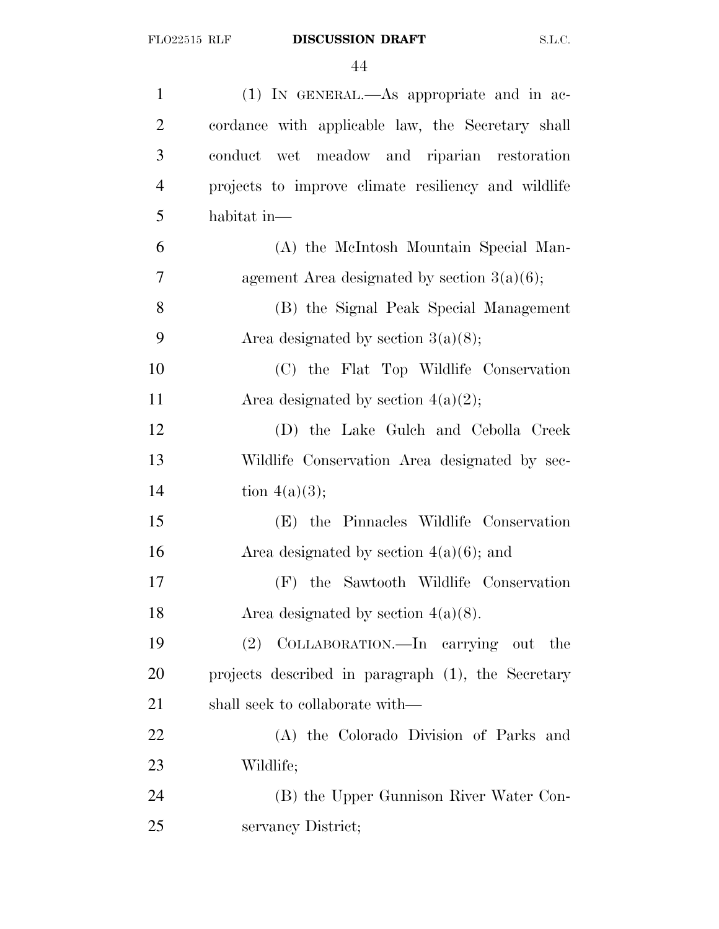| $\mathbf{1}$   | (1) IN GENERAL.—As appropriate and in ac-           |
|----------------|-----------------------------------------------------|
| $\overline{2}$ | cordance with applicable law, the Secretary shall   |
| 3              | conduct wet meadow and riparian restoration         |
| $\overline{4}$ | projects to improve climate resiliency and wildlife |
| 5              | habitat in-                                         |
| 6              | (A) the McIntosh Mountain Special Man-              |
| 7              | agement Area designated by section $3(a)(6)$ ;      |
| 8              | (B) the Signal Peak Special Management              |
| 9              | Area designated by section $3(a)(8)$ ;              |
| 10             | (C) the Flat Top Wildlife Conservation              |
| 11             | Area designated by section $4(a)(2)$ ;              |
| 12             | (D) the Lake Gulch and Cebolla Creek                |
| 13             | Wildlife Conservation Area designated by sec-       |
| 14             | tion $4(a)(3);$                                     |
| 15             | (E) the Pinnacles Wildlife Conservation             |
| 16             | Area designated by section $4(a)(6)$ ; and          |
| 17             | (F) the Sawtooth Wildlife Conservation              |
| 18             | Area designated by section $4(a)(8)$ .              |
| 19             | (2) COLLABORATION.—In carrying out<br>the           |
| 20             | projects described in paragraph (1), the Secretary  |
| 21             | shall seek to collaborate with—                     |
| 22             | (A) the Colorado Division of Parks and              |
| 23             | Wildlife;                                           |
| 24             | (B) the Upper Gunnison River Water Con-             |
| 25             | servancy District;                                  |